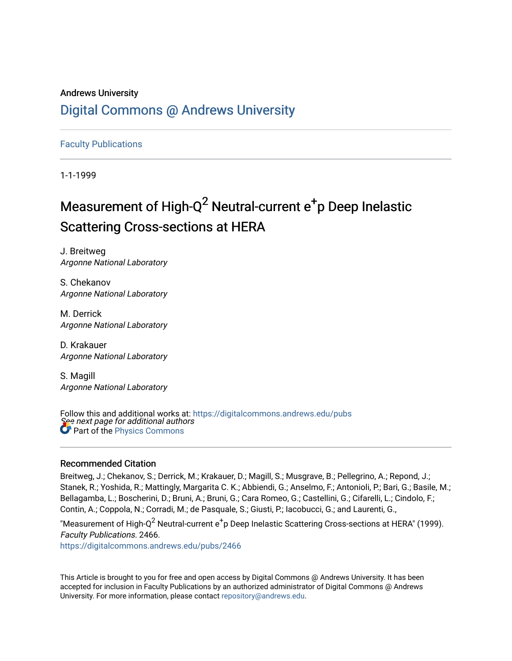# Andrews University [Digital Commons @ Andrews University](https://digitalcommons.andrews.edu/)

[Faculty Publications](https://digitalcommons.andrews.edu/pubs)

1-1-1999

# Measurement of High-Q<sup>2</sup> Neutral-current  $e^+$ p Deep Inelastic Scattering Cross-sections at HERA

J. Breitweg Argonne National Laboratory

S. Chekanov Argonne National Laboratory

M. Derrick Argonne National Laboratory

D. Krakauer Argonne National Laboratory

S. Magill Argonne National Laboratory

See next page for additional authors Follow this and additional works at: [https://digitalcommons.andrews.edu/pubs](https://digitalcommons.andrews.edu/pubs?utm_source=digitalcommons.andrews.edu%2Fpubs%2F2466&utm_medium=PDF&utm_campaign=PDFCoverPages)  Part of the [Physics Commons](http://network.bepress.com/hgg/discipline/193?utm_source=digitalcommons.andrews.edu%2Fpubs%2F2466&utm_medium=PDF&utm_campaign=PDFCoverPages)

# Recommended Citation

Breitweg, J.; Chekanov, S.; Derrick, M.; Krakauer, D.; Magill, S.; Musgrave, B.; Pellegrino, A.; Repond, J.; Stanek, R.; Yoshida, R.; Mattingly, Margarita C. K.; Abbiendi, G.; Anselmo, F.; Antonioli, P.; Bari, G.; Basile, M.; Bellagamba, L.; Boscherini, D.; Bruni, A.; Bruni, G.; Cara Romeo, G.; Castellini, G.; Cifarelli, L.; Cindolo, F.; Contin, A.; Coppola, N.; Corradi, M.; de Pasquale, S.; Giusti, P.; Iacobucci, G.; and Laurenti, G.,

"Measurement of High-Q $^2$  Neutral-current  $\rm e^+$ p Deep Inelastic Scattering Cross-sections at HERA" (1999). Faculty Publications. 2466.

[https://digitalcommons.andrews.edu/pubs/2466](https://digitalcommons.andrews.edu/pubs/2466?utm_source=digitalcommons.andrews.edu%2Fpubs%2F2466&utm_medium=PDF&utm_campaign=PDFCoverPages) 

This Article is brought to you for free and open access by Digital Commons @ Andrews University. It has been accepted for inclusion in Faculty Publications by an authorized administrator of Digital Commons @ Andrews University. For more information, please contact [repository@andrews.edu](mailto:repository@andrews.edu).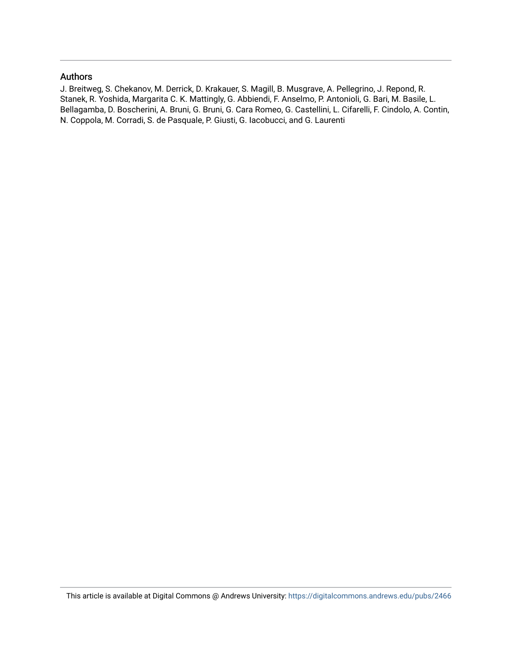# Authors

J. Breitweg, S. Chekanov, M. Derrick, D. Krakauer, S. Magill, B. Musgrave, A. Pellegrino, J. Repond, R. Stanek, R. Yoshida, Margarita C. K. Mattingly, G. Abbiendi, F. Anselmo, P. Antonioli, G. Bari, M. Basile, L. Bellagamba, D. Boscherini, A. Bruni, G. Bruni, G. Cara Romeo, G. Castellini, L. Cifarelli, F. Cindolo, A. Contin, N. Coppola, M. Corradi, S. de Pasquale, P. Giusti, G. Iacobucci, and G. Laurenti

This article is available at Digital Commons @ Andrews University:<https://digitalcommons.andrews.edu/pubs/2466>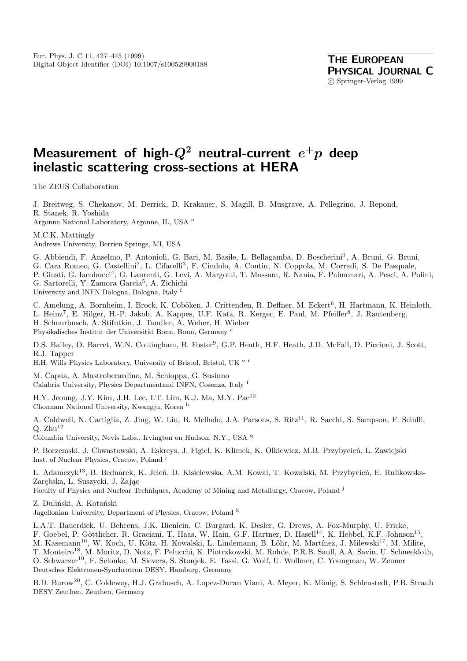# **Measurement of high-***Q***<sup>2</sup> neutral-current** *e***<sup>+</sup>***p* **deep inelastic scattering cross-sections at HERA**

The ZEUS Collaboration

J. Breitweg, S. Chekanov, M. Derrick, D. Krakauer, S. Magill, B. Musgrave, A. Pellegrino, J. Repond, R. Stanek, R. Yoshida

Argonne National Laboratory, Argonne, IL, USA <sup>p</sup>

M.C.K. Mattingly

Andrews University, Berrien Springs, MI, USA

G. Abbiendi, F. Anselmo, P. Antonioli, G. Bari, M. Basile, L. Bellagamba, D. Boscherini<sup>1</sup>, A. Bruni, G. Bruni,

G. Cara Romeo, G. Castellini<sup>2</sup>, L. Cifarelli<sup>3</sup>, F. Cindolo, A. Contin, N. Coppola, M. Corradi, S. De Pasquale,

P. Giusti, G. Iacobucci<sup>4</sup>, G. Laurenti, G. Levi, A. Margotti, T. Massam, R. Nania, F. Palmonari, A. Pesci, A. Polini, G. Sartorelli, Y. Zamora Garcia<sup>5</sup>, A. Zichichi

University and INFN Bologna, Bologna, Italy <sup>f</sup>

C. Amelung, A. Bornheim, I. Brock, K. Coböken, J. Crittenden, R. Deffner, M. Eckert<sup>6</sup>, H. Hartmann, K. Heinloth, L. Heinz<sup>7</sup>, E. Hilger, H.-P. Jakob, A. Kappes, U.F. Katz, R. Kerger, E. Paul, M. Pfeiffer<sup>8</sup>, J. Rautenberg, H. Schnurbusch, A. Stifutkin, J. Tandler, A. Weber, H. Wieber Physikalisches Institut der Universität Bonn, Bonn, Germany c

D.S. Bailey, O. Barret, W.N. Cottingham, B. Foster<sup>9</sup>, G.P. Heath, H.F. Heath, J.D. McFall, D. Piccioni, J. Scott, R.J. Tapper

H.H. Wills Physics Laboratory, University of Bristol, Bristol, UK <sup>o r</sup>

M. Capua, A. Mastroberardino, M. Schioppa, G. Susinno Calabria University, Physics Departmentand INFN, Cosenza, Italy <sup>f</sup>

H.Y. Jeoung, J.Y. Kim, J.H. Lee, I.T. Lim, K.J. Ma, M.Y. Pac<sup>10</sup> Chonnam National University, Kwangju, Korea <sup>h</sup>

A. Caldwell, N. Cartiglia, Z. Jing, W. Liu, B. Mellado, J.A. Parsons, S. Ritz<sup>11</sup>, R. Sacchi, S. Sampson, F. Sciulli,  $Q. Zhu^{12}$ 

Columbia University, Nevis Labs., Irvington on Hudson, N.Y., USA <sup>q</sup>

P. Borzemski, J. Chwastowski, A. Eskreys, J. Figiel, K. Klimek, K. Olkiewicz, M.B. Przybycień, L. Zawiejski Inst. of Nuclear Physics, Cracow, Poland <sup>j</sup>

L. Adamczyk<sup>13</sup>, B. Bednarek, K. Jeleń, D. Kisielewska, A.M. Kowal, T. Kowalski, M. Przybycień, E. Rulikowska-Zarebska, L. Suszycki, J. Zając

Faculty of Physics and Nuclear Techniques, Academy of Mining and Metallurgy, Cracow, Poland <sup>j</sup>

Z. Duliński, A. Kotański

Jagellonian University, Department of Physics, Cracow, Poland <sup>k</sup>

L.A.T. Bauerdick, U. Behrens, J.K. Bienlein, C. Burgard, K. Desler, G. Drews, A. Fox-Murphy, U. Fricke, F. Goebel, P. Göttlicher, R. Graciani, T. Haas, W. Hain, G.F. Hartner, D. Hasell<sup>14</sup>, K. Hebbel, K.F. Johnson<sup>15</sup>, M. Kasemann<sup>16</sup>, W. Koch, U. Kötz, H. Kowalski, L. Lindemann, B. Löhr, M. Martínez, J. Milewski<sup>17</sup>, M. Milite, T. Monteiro<sup>18</sup>, M. Moritz, D. Notz, F. Pelucchi, K. Piotrzkowski, M. Rohde, P.R.B. Saull, A.A. Savin, U. Schneekloth, O. Schwarzer<sup>19</sup>, F. Selonke, M. Sievers, S. Stonjek, E. Tassi, G. Wolf, U. Wollmer, C. Youngman, W. Zeuner Deutsches Elektronen-Synchrotron DESY, Hamburg, Germany

B.D. Burow<sup>20</sup>, C. Coldewey, H.J. Grabosch, A. Lopez-Duran Viani, A. Meyer, K. Mönig, S. Schlenstedt, P.B. Straub DESY Zeuthen, Zeuthen, Germany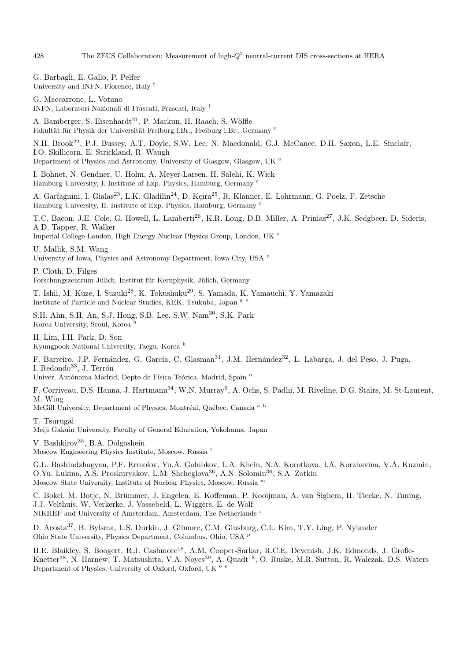G. Barbagli, E. Gallo, P. Pelfer University and INFN, Florence, Italy <sup>f</sup>

G. Maccarrone, L. Votano INFN, Laboratori Nazionali di Frascati, Frascati, Italy <sup>f</sup>

A. Bamberger, S. Eisenhardt<sup>21</sup>, P. Markun, H. Raach, S. Wölfle Fakultät für Physik der Universität Freiburg i.Br., Freiburg i.Br., Germany c

N.H. Brook<sup>22</sup>, P.J. Bussey, A.T. Doyle, S.W. Lee, N. Macdonald, G.J. McCance, D.H. Saxon, L.E. Sinclair, I.O. Skillicorn, E. Strickland, R. Waugh

Department of Physics and Astronomy, University of Glasgow, Glasgow, UK <sup>o</sup>

I. Bohnet, N. Gendner, U. Holm, A. Meyer-Larsen, H. Salehi, K. Wick Hamburg University, I. Institute of Exp. Physics, Hamburg, Germany <sup>c</sup>

A. Garfagnini, I. Gialas<sup>23</sup>, L.K. Gladilin<sup>24</sup>, D. Kçira<sup>25</sup>, R. Klanner, E. Lohrmann, G. Poelz, F. Zetsche Hamburg University, II. Institute of Exp. Physics, Hamburg, Germany <sup>c</sup>

T.C. Bacon, J.E. Cole, G. Howell, L. Lamberti<sup>26</sup>, K.R. Long, D.B. Miller, A. Prinias<sup>27</sup>, J.K. Sedgbeer, D. Sideris, A.D. Tapper, R. Walker Imperial College London, High Energy Nuclear Physics Group, London, UK <sup>o</sup>

U. Mallik, S.M. Wang

University of Iowa, Physics and Astronomy Department, Iowa City, USA <sup>p</sup>

P. Cloth, D. Filges Forschungszentrum Jülich, Institut für Kernphysik, Jülich, Germany

T. Ishii, M. Kuze, I. Suzuki<sup>28</sup>, K. Tokushuku<sup>29</sup>, S. Yamada, K. Yamauchi, Y. Yamazaki Institute of Particle and Nuclear Studies, KEK, Tsukuba, Japan g s

S.H. Ahn, S.H. An, S.J. Hong, S.B. Lee, S.W. Nam<sup>30</sup>, S.K. Park Korea University, Seoul, Korea <sup>h</sup>

H. Lim, I.H. Park, D. Son Kyungpook National University, Taegu, Korea <sup>h</sup>

F. Barreiro, J.P. Fernández, G. García, C. Glasman<sup>31</sup>, J.M. Hernández<sup>32</sup>, L. Labarga, J. del Peso, J. Puga, I. Redondo $^{33}$ , J. Terrón

Univer. Autónoma Madrid, Depto de Física Teórica, Madrid, Spain n

F. Corriveau, D.S. Hanna, J. Hartmann<sup>34</sup>, W.N. Murray<sup>6</sup>, A. Ochs, S. Padhi, M. Riveline, D.G. Stairs, M. St-Laurent, M. Wing

McGill University, Department of Physics, Montréal, Québec, Canada a b

T. Tsurugai Meiji Gakuin University, Faculty of General Education, Yokohama, Japan

V. Bashkirov<sup>35</sup>, B.A. Dolgoshein

Moscow Engineering Physics Institute, Moscow, Russia <sup>l</sup>

G.L. Bashindzhagyan, P.F. Ermolov, Yu.A. Golubkov, L.A. Khein, N.A. Korotkova, I.A. Korzhavina, V.A. Kuzmin, O.Yu. Lukina, A.S. Proskuryakov, L.M. Shcheglova<sup>36</sup>, A.N. Solomin<sup>36</sup>, S.A. Zotkin Moscow State University, Institute of Nuclear Physics, Moscow, Russia <sup>m</sup>

C. Bokel, M. Botje, N. Brümmer, J. Engelen, E. Koffeman, P. Kooijman, A. van Sighem, H. Tiecke, N. Tuning, J.J. Velthuis, W. Verkerke, J. Vossebeld, L. Wiggers, E. de Wolf NIKHEF and University of Amsterdam, Amsterdam, The Netherlands <sup>i</sup>

D. Acosta<sup>37</sup>, B. Bylsma, L.S. Durkin, J. Gilmore, C.M. Ginsburg, C.L. Kim, T.Y. Ling, P. Nylander Ohio State University, Physics Department, Columbus, Ohio, USA <sup>p</sup>

H.E. Blaikley, S. Boogert, R.J. Cashmore<sup>18</sup>, A.M. Cooper-Sarkar, R.C.E. Devenish, J.K. Edmonds, J. Große-Knetter<sup>38</sup>, N. Harnew, T. Matsushita, V.A. Noyes<sup>39</sup>, A. Quadt<sup>18</sup>, O. Ruske, M.R. Sutton, R. Walczak, D.S. Waters Department of Physics, University of Oxford, Oxford, UK <sup>o s</sup>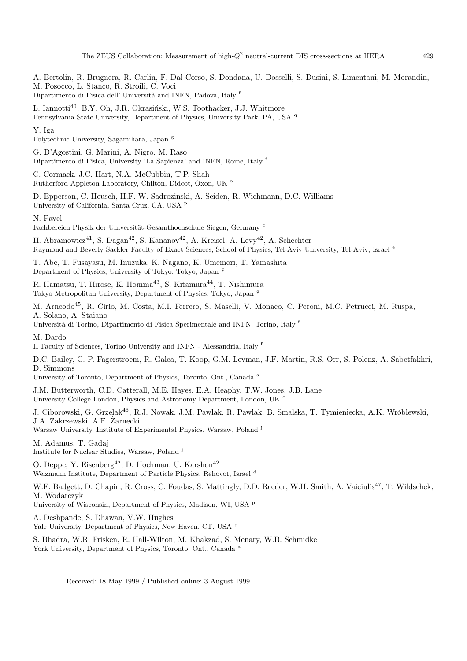The ZEUS Collaboration: Measurement of high- $Q^2$  neutral-current DIS cross-sections at HERA  $429$ 

A. Bertolin, R. Brugnera, R. Carlin, F. Dal Corso, S. Dondana, U. Dosselli, S. Dusini, S. Limentani, M. Morandin, M. Posocco, L. Stanco, R. Stroili, C. Voci

Dipartimento di Fisica dell' Università and INFN, Padova, Italy  $^{\rm f}$ 

L. Iannotti<sup>40</sup>, B.Y. Oh, J.R. Okrasiński, W.S. Toothacker, J.J. Whitmore

Pennsylvania State University, Department of Physics, University Park, PA, USA <sup>q</sup>

Y. Iga Polytechnic University, Sagamihara, Japan g

G. D'Agostini, G. Marini, A. Nigro, M. Raso Dipartimento di Fisica, University 'La Sapienza' and INFN, Rome, Italy <sup>f</sup>

C. Cormack, J.C. Hart, N.A. McCubbin, T.P. Shah Rutherford Appleton Laboratory, Chilton, Didcot, Oxon, UK <sup>o</sup>

D. Epperson, C. Heusch, H.F.-W. Sadrozinski, A. Seiden, R. Wichmann, D.C. Williams University of California, Santa Cruz, CA, USA <sup>p</sup>

N. Pavel

Fachbereich Physik der Universität-Gesamthochschule Siegen, Germany c

H. Abramowicz<sup>41</sup>, S. Dagan<sup>42</sup>, S. Kananov<sup>42</sup>, A. Kreisel, A. Levy<sup>42</sup>, A. Schechter Raymond and Beverly Sackler Faculty of Exact Sciences, School of Physics, Tel-Aviv University, Tel-Aviv, Israel <sup>e</sup>

T. Abe, T. Fusayasu, M. Inuzuka, K. Nagano, K. Umemori, T. Yamashita Department of Physics, University of Tokyo, Tokyo, Japan <sup>g</sup>

R. Hamatsu, T. Hirose, K. Homma<sup>43</sup>, S. Kitamura<sup>44</sup>, T. Nishimura Tokyo Metropolitan University, Department of Physics, Tokyo, Japan <sup>g</sup>

M. Arneodo<sup>45</sup>, R. Cirio, M. Costa, M.I. Ferrero, S. Maselli, V. Monaco, C. Peroni, M.C. Petrucci, M. Ruspa, A. Solano, A. Staiano

Università di Torino, Dipartimento di Fisica Sperimentale and INFN, Torino, Italy f

M. Dardo

II Faculty of Sciences, Torino University and INFN - Alessandria, Italy <sup>f</sup>

D.C. Bailey, C.-P. Fagerstroem, R. Galea, T. Koop, G.M. Levman, J.F. Martin, R.S. Orr, S. Polenz, A. Sabetfakhri, D. Simmons

- University of Toronto, Department of Physics, Toronto, Ont., Canada <sup>a</sup>
- J.M. Butterworth, C.D. Catterall, M.E. Hayes, E.A. Heaphy, T.W. Jones, J.B. Lane

University College London, Physics and Astronomy Department, London, UK <sup>o</sup>

J. Ciborowski, G. Grzelak<sup>46</sup>, R.J. Nowak, J.M. Pawlak, R. Pawlak, B. Smalska, T. Tymieniecka, A.K. Wróblewski, J.A. Zakrzewski, A.F. Zarnecki ˙

Warsaw University, Institute of Experimental Physics, Warsaw, Poland <sup>j</sup>

M. Adamus, T. Gadaj Institute for Nuclear Studies, Warsaw, Poland <sup>j</sup>

O. Deppe, Y. Eisenberg<sup>42</sup>, D. Hochman, U. Karshon<sup>42</sup> Weizmann Institute, Department of Particle Physics, Rehovot, Israel <sup>d</sup>

W.F. Badgett, D. Chapin, R. Cross, C. Foudas, S. Mattingly, D.D. Reeder, W.H. Smith, A. Vaiciulis<sup>47</sup>, T. Wildschek, M. Wodarczyk

University of Wisconsin, Department of Physics, Madison, WI, USA <sup>p</sup>

A. Deshpande, S. Dhawan, V.W. Hughes Yale University, Department of Physics, New Haven, CT, USA <sup>p</sup>

S. Bhadra, W.R. Frisken, R. Hall-Wilton, M. Khakzad, S. Menary, W.B. Schmidke York University, Department of Physics, Toronto, Ont., Canada<sup>a</sup>

Received: 18 May 1999 / Published online: 3 August 1999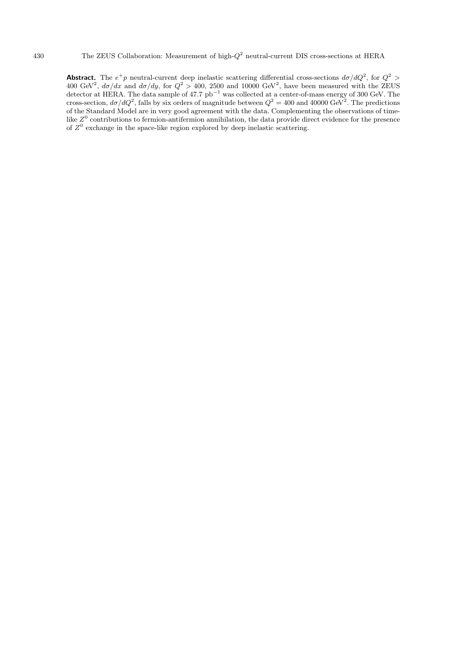**Abstract.** The  $e^+p$  neutral-current deep inelastic scattering differential cross-sections  $d\sigma/dQ^2$ , for  $Q^2$ 400 GeV<sup>2</sup>,  $d\sigma/dx$  and  $d\sigma/dy$ , for  $Q^2 > 400$ , 2500 and 10000 GeV<sup>2</sup>, have been measured with the ZEUS detector at HERA. The data sample of 47.7  $pb^{-1}$  was collected at a center-of-mass energy of 300 GeV. The cross-section,  $d\sigma/dQ^2$ , falls by six orders of magnitude between  $Q^2 = 400$  and  $40000 \text{ GeV}^2$ . The predictions of the Standard Model are in very good agreement with the data. Complementing the observations of timelike  $Z^0$  contributions to fermion-antifermion annihilation, the data provide direct evidence for the presence of  $Z^0$  exchange in the space-like region explored by deep inelastic scattering.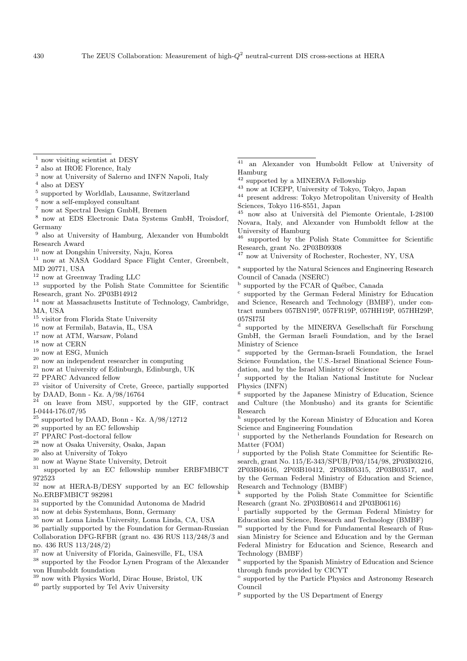$\frac{1}{2}$  now visiting scientist at DESY

- also at IROE Florence, Italy
- now at University of Salerno and INFN Napoli, Italy
- $^{4}$  also at DESY
- <sup>5</sup> supported by Worldlab, Lausanne, Switzerland
- $6$  now a self-employed consultant
- <sup>7</sup> now at Spectral Design GmbH, Bremen
- <sup>8</sup> now at EDS Electronic Data Systems GmbH, Troisdorf, Germany
- <sup>9</sup> also at University of Hamburg, Alexander von Humboldt Research Award
- <sup>10</sup> now at Dongshin University, Naju, Korea
- <sup>11</sup> now at NASA Goddard Space Flight Center, Greenbelt, MD 20771, USA
- <sup>12</sup> now at Greenway Trading LLC
- <sup>13</sup> supported by the Polish State Committee for Scientific Research, grant No. 2P03B14912
- <sup>14</sup> now at Massachusetts Institute of Technology, Cambridge, MA, USA
- $^{15}$  visitor from Florida State University
- $^{16}$ now at Fermilab, Batavia, IL, USA
- <sup>17</sup> now at ATM, Warsaw, Poland
- $^{18}$  now at CERN  $\,$
- $^{19}$  now at ESG, Munich
- <sup>20</sup> now an independent researcher in computing
- $^\mathrm{21}$  now at University of Edinburgh, Edinburgh, UK
- <sup>22</sup> PPARC Advanced fellow
- <sup>23</sup> visitor of University of Crete, Greece, partially supported by DAAD, Bonn - Kz. A/98/16764
- on leave from MSU, supported by the GIF, contract I-0444-176.07/95
- $25$  supported by DAAD, Bonn Kz. A/98/12712
- $26$  supported by an EC fellowship
- <sup>27</sup> PPARC Post-doctoral fellow
- <sup>28</sup> now at Osaka University, Osaka, Japan
- $^{\rm 29}$  also at University of Tokyo
- <sup>30</sup> now at Wayne State University, Detroit
- <sup>31</sup> supported by an EC fellowship number ERBFMBICT 972523
- <sup>32</sup> now at HERA-B/DESY supported by an EC fellowship No.ERBFMBICT 982981
- <sup>33</sup> supported by the Comunidad Autonoma de Madrid
- <sup>34</sup> now at debis Systemhaus, Bonn, Germany
- $^{35}$ now at Loma Linda University, Loma Linda, CA, USA

 $^{36}$  partially supported by the Foundation for German-Russian Collaboration DFG-RFBR (grant no. 436 RUS 113/248/3 and no. 436 RUS 113/248/2)

- <sup>37</sup> now at University of Florida, Gainesville, FL, USA
- <sup>38</sup> supported by the Feodor Lynen Program of the Alexander von Humboldt foundation
- <sup>39</sup> now with Physics World, Dirac House, Bristol, UK
- <sup>40</sup> partly supported by Tel Aviv University

<sup>41</sup> an Alexander von Humboldt Fellow at University of Hamburg

- <sup>42</sup> supported by a MINERVA Fellowship
- <sup>43</sup> now at ICEPP, University of Tokyo, Tokyo, Japan
- $^\mathrm{44}$  present address: Tokyo Metropolitan University of Health Sciences, Tokyo 116-8551, Japan
- <sup>45</sup> now also at Università del Piemonte Orientale, I-28100 Novara, Italy, and Alexander von Humboldt fellow at the University of Hamburg<br><sup>46</sup> supported by the l
- supported by the Polish State Committee for Scientific Research, grant No. 2P03B09308
- <sup>47</sup> now at University of Rochester, Rochester, NY, USA
- <sup>a</sup> supported by the Natural Sciences and Engineering Research Council of Canada (NSERC)
- $b$  supported by the FCAR of Québec, Canada
- <sup>c</sup> supported by the German Federal Ministry for Education and Science, Research and Technology (BMBF), under contract numbers 057BN19P, 057FR19P, 057HH19P, 057HH29P,  $\frac{057}{\text{S}}$
- supported by the MINERVA Gesellschaft für Forschung GmbH, the German Israeli Foundation, and by the Israel Ministry of Science
- supported by the German-Israeli Foundation, the Israel Science Foundation, the U.S.-Israel Binational Science Foundation, and by the Israel Ministry of Science
- supported by the Italian National Institute for Nuclear Physics (INFN)
- <sup>g</sup> supported by the Japanese Ministry of Education, Science and Culture (the Monbusho) and its grants for Scientific Research<br> $h$  support
- supported by the Korean Ministry of Education and Korea Science and Engineering Foundation
- supported by the Netherlands Foundation for Research on Matter (FOM)
- supported by the Polish State Committee for Scientific Research, grant No. 115/E-343/SPUB/P03/154/98, 2P03B03216, 2P03B04616, 2P03B10412, 2P03B05315, 2P03B03517, and
- by the German Federal Ministry of Education and Science, Research and Technology (BMBF) supported by the Polish State Committee for Scientific
- Research (grant No. 2P03B08614 and 2P03B06116)
- <sup>l</sup> partially supported by the German Federal Ministry for Education and Science, Research and Technology (BMBF)
- <sup>m</sup> supported by the Fund for Fundamental Research of Russian Ministry for Science and Education and by the German Federal Ministry for Education and Science, Research and Technology (BMBF)
- <sup>n</sup> supported by the Spanish Ministry of Education and Science through funds provided by CICYT
- <sup>o</sup> supported by the Particle Physics and Astronomy Research Council
- <sup>p</sup> supported by the US Department of Energy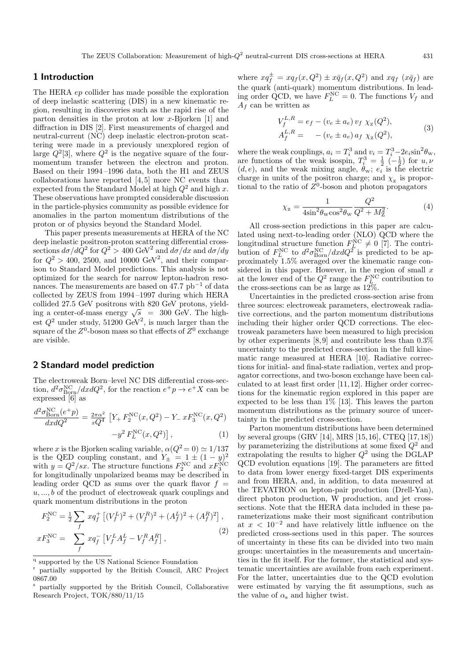# **1 Introduction**

The HERA ep collider has made possible the exploration of deep inelastic scattering (DIS) in a new kinematic region, resulting in discoveries such as the rapid rise of the parton densities in the proton at low x-Bjorken [1] and diffraction in DIS [2]. First measurements of charged and neutral-current (NC) deep inelastic electron-proton scattering were made in a previously unexplored region of large  $Q^2[3]$ , where  $Q^2$  is the negative square of the fourmomentum transfer between the electron and proton. Based on their 1994 –1996 data, both the H1 and ZEUS collaborations have reported  $[4, 5]$  more NC events than expected from the Standard Model at high  $Q^2$  and high x. These observations have prompted considerable discussion in the particle-physics community as possible evidence for anomalies in the parton momentum distributions of the proton or of physics beyond the Standard Model.

This paper presents measurements at HERA of the NC deep inelastic positron-proton scattering differential crosssections  $d\sigma/d\bar{Q}^2$  for  $Q^2 > 400 \text{ GeV}^2$  and  $d\sigma/dx$  and  $d\sigma/dy$ for  $Q^2 > 400$ , 2500, and 10000 GeV<sup>2</sup>, and their comparison to Standard Model predictions. This analysis is not optimized for the search for narrow lepton-hadron resonances. The measurements are based on 47.7 pb−<sup>1</sup> of data collected by ZEUS from 1994 –1997 during which HERA collided 27.5 GeV positrons with 820 GeV protons, yielding a center-of-mass energy  $\sqrt{s}$  = 300 GeV. The highest  $Q^2$  under study, 51200 GeV<sup>2</sup>, is much larger than the square of the  $Z^0$ -boson mass so that effects of  $Z^0$  exchange are visible.

# **2 Standard model prediction**

The electroweak Born–level NC DIS differential cross-section,  $d^2\sigma_{\text{Born}}^{\text{NC}}/dx dQ^2$ , for the reaction  $e^+p \to e^+X$  can be expressed [6] as

$$
\frac{d^2 \sigma_{\text{Born}}^{\text{NC}}(e^+ p)}{dx dQ^2} = \frac{2\pi \alpha^2}{xQ^4} \left[ Y_+ F_2^{\text{NC}}(x, Q^2) - Y_- x F_3^{\text{NC}}(x, Q^2) - y^2 F_L^{\text{NC}}(x, Q^2) \right], \tag{1}
$$

where x is the Bjorken scaling variable,  $\alpha(Q^2 = 0) \simeq 1/137$ is the QED coupling constant, and  $Y_{\pm} = 1 \pm (1 - y)^2$ with  $y = Q^2/sx$ . The structure functions  $F_2^{\text{NC}}$  and  $xF_3^{\text{NC}}$ for longitudinally unpolarized beams may be described in leading order QCD as sums over the quark flavor  $f =$  $u, \ldots, b$  of the product of electroweak quark couplings and quark momentum distributions in the proton

$$
F_2^{\text{NC}} = \frac{1}{2} \sum_f x q_f^+ \left[ (V_f^L)^2 + (V_f^R)^2 + (A_f^L)^2 + (A_f^R)^2 \right],
$$
  
\n
$$
x F_3^{\text{NC}} = \sum_f x q_f^- \left[ V_f^L A_f^L - V_f^R A_f^R \right],
$$
\n(2)

where  $xq_f^{\pm} = xq_f(x, Q^2) \pm x\overline{q}_f(x, Q^2)$  and  $xq_f(x\overline{q}_f)$  are the quark (anti-quark) momentum distributions. In leading order QCD, we have  $F_L^{\text{NC}} = 0$ . The functions  $V_f$  and  $A_f$  can be written as

$$
V_f^{L,R} = e_f - (v_e \pm a_e) v_f \chi_z(Q^2),
$$
  
\n
$$
A_f^{L,R} = -(v_e \pm a_e) a_f \chi_z(Q^2),
$$
\n(3)

where the weak couplings,  $a_i = T_i^3$  and  $v_i = T_i^3 - 2e_i \sin^2 \theta_w$ , are functions of the weak isospin,  $T_i^3 = \frac{1}{2} \left(-\frac{1}{2}\right)$  for  $u, v$  $(d, e)$ , and the weak mixing angle,  $\theta_w$ ;  $e_i$  is the electric charge in units of the positron charge; and  $\chi$ <sub>z</sub> is proportional to the ratio of  $Z^0$ -boson and photon propagators

$$
\chi_{z} = \frac{1}{4\sin^{2}\theta_{\rm w}\cos^{2}\theta_{\rm w}}\frac{Q^{2}}{Q^{2} + M_{Z}^{2}}.\tag{4}
$$

All cross-section predictions in this paper are calculated using next-to-leading order (NLO) QCD where the longitudinal structure function  $F_{\perp}^{\text{NC}} \neq 0$  [7]. The contribution of  $F_L^{\text{NC}}$  to  $d^2 \sigma_{\text{Born}}^{\text{NC}}/dx dQ^2$  is predicted to be approximately 1.5% averaged over the kinematic range considered in this paper. However, in the region of small  $x$ at the lower end of the  $Q^2$  range the  $F_{L_c}^{\text{NC}}$  contribution to the cross-sections can be as large as  $12\%$ .

Uncertainties in the predicted cross-section arise from three sources: electroweak parameters, electroweak radiative corrections, and the parton momentum distributions including their higher order QCD corrections. The electroweak parameters have been measured to high precision by other experiments  $[8, 9]$  and contribute less than  $0.3\%$ uncertainty to the predicted cross-section in the full kinematic range measured at HERA [10]. Radiative corrections for initial- and final-state radiation, vertex and propagator corrections, and two-boson exchange have been calculated to at least first order [11, 12]. Higher order corrections for the kinematic region explored in this paper are expected to be less than 1% [13]. This leaves the parton momentum distributions as the primary source of uncertainty in the predicted cross-section.

Parton momentum distributions have been determined by several groups (GRV [14], MRS [15, 16], CTEQ [17, 18]) by parameterizing the distributions at some fixed  $Q^2$  and extrapolating the results to higher  $Q^2$  using the DGLAP QCD evolution equations [19]. The parameters are fitted to data from lower energy fixed-target DIS experiments and from HERA, and, in addition, to data measured at the TEVATRON on lepton-pair production (Drell-Yan), direct photon production, W production, and jet crosssections. Note that the HERA data included in these parameterizations make their most significant contribution at  $x < 10^{-2}$  and have relatively little influence on the predicted cross-sections used in this paper. The sources of uncertainty in these fits can be divided into two main groups: uncertainties in the measurements and uncertainties in the fit itself. For the former, the statistical and systematic uncertainties are available from each experiment. For the latter, uncertainties due to the QCD evolution were estimated by varying the fit assumptions, such as the value of  $\alpha_{\mathrm{s}}$  and higher twist.

<sup>q</sup> supported by the US National Science Foundation

partially supported by the British Council, ARC Project 0867.00

<sup>s</sup> partially supported by the British Council, Collaborative Research Project, TOK/880/11/15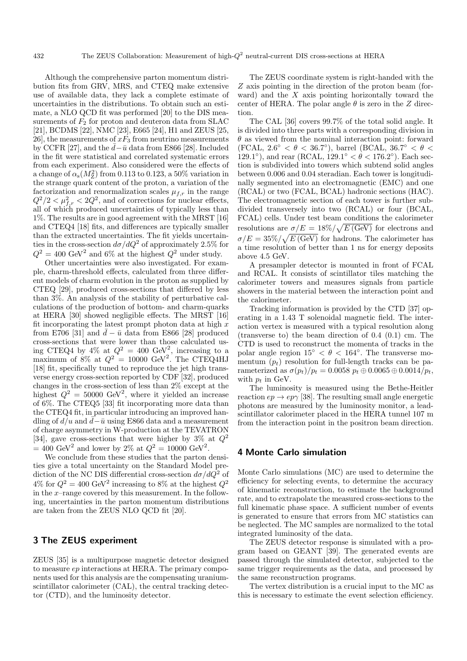Although the comprehensive parton momentum distribution fits from GRV, MRS, and CTEQ make extensive use of available data, they lack a complete estimate of uncertainties in the distributions. To obtain such an estimate, a NLO QCD fit was performed [20] to the DIS measurements of  $F_2$  for proton and deuteron data from SLAC [21], BCDMS [22], NMC [23], E665 [24], H1 and ZEUS [25, 26, the measurements of  $xF_3$  from neutrino measurements by CCFR [27], and the  $\bar{d} - \bar{u}$  data from E866 [28]. Included in the fit were statistical and correlated systematic errors from each experiment. Also considered were the effects of a change of  $\alpha_s(M_Z^2)$  from 0.113 to 0.123, a 50% variation in the strange quark content of the proton, a variation of the factorization and renormalization scales  $\mu_{f,r}$  in the range  $Q^2/2 < \mu_{f,r}^2 < 2Q^2$ , and of corrections for nuclear effects, all of which produced uncertainties of typically less than 1%. The results are in good agreement with the MRST [16] and CTEQ4 [18] fits, and differences are typically smaller than the extracted uncertainties. The fit yields uncertainties in the cross-section  $d\sigma/dQ^2$  of approximately 2.5% for  $Q^2 = 400 \text{ GeV}^2$  and 6% at the highest  $Q^2$  under study.

Other uncertainties were also investigated. For example, charm-threshold effects, calculated from three different models of charm evolution in the proton as supplied by CTEQ [29], produced cross-sections that differed by less than 3%. An analysis of the stability of perturbative calculations of the production of bottom- and charm-quarks at HERA [30] showed negligible effects. The MRST [16] fit incorporating the latest prompt photon data at high  $x$ from E706 [31] and  $\bar{d} - \bar{u}$  data from E866 [28] produced cross-sections that were lower than those calculated using CTEQ4 by 4% at  $Q^2 = 400 \text{ GeV}^2$ , increasing to a maximum of  $8\%$  at  $Q^2 = 10000 \text{ GeV}^2$ . The CTEQ4HJ [18] fit, specifically tuned to reproduce the jet high transverse energy cross-section reported by CDF [32], produced changes in the cross-section of less than 2% except at the highest  $Q^2 = 50000 \text{ GeV}^2$ , where it yielded an increase of 6%. The CTEQ5 [33] fit incorporating more data than the CTEQ4 fit, in particular introducing an improved handling of  $d/u$  and  $\overline{d}-\overline{u}$  using E866 data and a measurement of charge asymmetry in W-production at the TEVATRON [34], gave cross-sections that were higher by  $3\%$  at  $Q^2$  $= 400 \text{ GeV}^2$  and lower by 2% at  $Q^2 = 10000 \text{ GeV}^2$ .

We conclude from these studies that the parton densities give a total uncertainty on the Standard Model prediction of the NC DIS differential cross-section  $d\sigma/dQ^2$  of  $4\%$  for  $Q^2 = 400 \text{ GeV}^2$  increasing to 8% at the highest  $Q^2$ in the  $x$ -range covered by this measurement. In the following, uncertainties in the parton momentum distributions are taken from the ZEUS NLO QCD fit [20].

# **3 The ZEUS experiment**

ZEUS [35] is a multipurpose magnetic detector designed to measure ep interactions at HERA. The primary components used for this analysis are the compensating uraniumscintillator calorimeter (CAL), the central tracking detector (CTD), and the luminosity detector.

The ZEUS coordinate system is right-handed with the Z axis pointing in the direction of the proton beam (forward) and the  $X$  axis pointing horizontally toward the center of HERA. The polar angle  $\theta$  is zero in the Z direction.

The CAL [36] covers 99.7% of the total solid angle. It is divided into three parts with a corresponding division in  $\theta$  as viewed from the nominal interaction point: forward (FCAL,  $2.6° < \theta < 36.7°$ ), barrel (BCAL,  $36.7° < \theta <$ 129.1°), and rear (RCAL,  $129.1° < \theta < 176.2°$ ). Each section is subdivided into towers which subtend solid angles between 0.006 and 0.04 steradian. Each tower is longitudinally segmented into an electromagnetic (EMC) and one (RCAL) or two (FCAL, BCAL) hadronic sections (HAC). The electromagnetic section of each tower is further subdivided transversely into two (RCAL) or four (BCAL, FCAL) cells. Under test beam conditions the calorimeter resolutions are  $\sigma/E = 18\% / \sqrt{E(GeV)}$  for electrons and  $\sigma/E = 35\% / \sqrt{E(\text{GeV})}$  for hadrons. The calorimeter has a time resolution of better than 1 ns for energy deposits above 4.5 GeV.

A presampler detector is mounted in front of FCAL and RCAL. It consists of scintillator tiles matching the calorimeter towers and measures signals from particle showers in the material between the interaction point and the calorimeter.

Tracking information is provided by the CTD [37] operating in a 1.43 T solenoidal magnetic field. The interaction vertex is measured with a typical resolution along (transverse to) the beam direction of 0.4 (0.1) cm. The CTD is used to reconstruct the momenta of tracks in the polar angle region  $15° < \theta < 164°$ . The transverse momentum  $(p_t)$  resolution for full-length tracks can be parameterized as  $\sigma(p_t)/p_t = 0.0058 \ p_t \oplus 0.0065 \oplus 0.0014/p_t$ , with  $p_t$  in GeV.

The luminosity is measured using the Bethe-Heitler reaction  $ep \rightarrow ep\gamma$  [38]. The resulting small angle energetic photons are measured by the luminosity monitor, a leadscintillator calorimeter placed in the HERA tunnel 107 m from the interaction point in the positron beam direction.

## **4 Monte Carlo simulation**

Monte Carlo simulations (MC) are used to determine the efficiency for selecting events, to determine the accuracy of kinematic reconstruction, to estimate the background rate, and to extrapolate the measured cross-sections to the full kinematic phase space. A sufficient number of events is generated to ensure that errors from MC statistics can be neglected. The MC samples are normalized to the total integrated luminosity of the data.

The ZEUS detector response is simulated with a program based on GEANT [39]. The generated events are passed through the simulated detector, subjected to the same trigger requirements as the data, and processed by the same reconstruction programs.

The vertex distribution is a crucial input to the MC as this is necessary to estimate the event selection efficiency.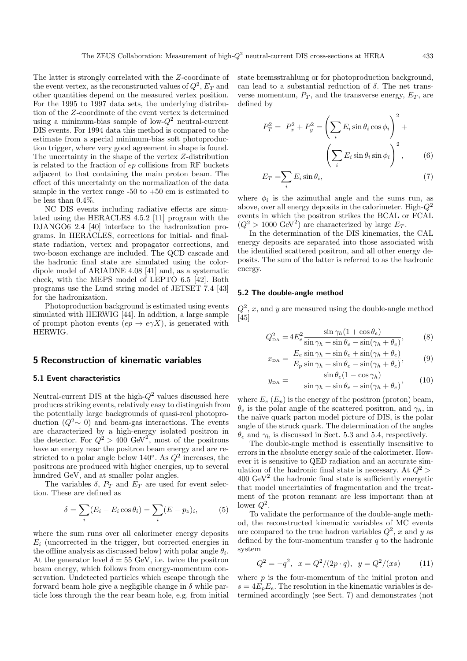The latter is strongly correlated with the Z-coordinate of the event vertex, as the reconstructed values of  $Q^2$ ,  $E_T$  and other quantities depend on the measured vertex position. For the 1995 to 1997 data sets, the underlying distribution of the Z-coordinate of the event vertex is determined using a minimum-bias sample of low- $Q^2$  neutral-current DIS events. For 1994 data this method is compared to the estimate from a special minimum-bias soft photoproduction trigger, where very good agreement in shape is found. The uncertainty in the shape of the vertex Z-distribution is related to the fraction of ep collisions from RF buckets adjacent to that containing the main proton beam. The effect of this uncertainty on the normalization of the data sample in the vertex range  $-50$  to  $+50$  cm is estimated to be less than 0.4%.

NC DIS events including radiative effects are simulated using the HERACLES 4.5.2 [11] program with the DJANGO6 2.4 [40] interface to the hadronization programs. In HERACLES, corrections for initial- and finalstate radiation, vertex and propagator corrections, and two-boson exchange are included. The QCD cascade and the hadronic final state are simulated using the colordipole model of ARIADNE 4.08 [41] and, as a systematic check, with the MEPS model of LEPTO 6.5 [42]. Both programs use the Lund string model of JETSET 7.4 [43] for the hadronization.

Photoproduction background is estimated using events simulated with HERWIG [44]. In addition, a large sample of prompt photon events  $(ep \rightarrow e\gamma X)$ , is generated with HERWIG.

# **5 Reconstruction of kinematic variables**

#### **5.1 Event characteristics**

Neutral-current DIS at the high- $Q^2$  values discussed here produces striking events, relatively easy to distinguish from the potentially large backgrounds of quasi-real photoproduction  $(Q^2 \sim 0)$  and beam-gas interactions. The events are characterized by a high-energy isolated positron in the detector. For  $Q^2 > 400 \text{ GeV}^2$ , most of the positrons have an energy near the positron beam energy and are restricted to a polar angle below 140 $\degree$ . As  $Q^2$  increases, the positrons are produced with higher energies, up to several hundred GeV, and at smaller polar angles.

The variables  $\delta$ ,  $P_T$  and  $E_T$  are used for event selection. These are defined as

$$
\delta = \sum_{i} (E_i - E_i \cos \theta_i) = \sum_{i} (E - p_z)_i, \tag{5}
$$

where the sum runs over all calorimeter energy deposits  $E_i$  (uncorrected in the trigger, but corrected energies in the offline analysis as discussed below) with polar angle  $\theta_i$ . At the generator level  $\delta = 55$  GeV, i.e. twice the positron beam energy, which follows from energy-momentum conservation. Undetected particles which escape through the forward beam hole give a negligible change in  $\delta$  while particle loss through the the rear beam hole, e.g. from initial state bremsstrahlung or for photoproduction background, can lead to a substantial reduction of  $\delta$ . The net transverse momentum,  $P_T$ , and the transverse energy,  $E_T$ , are defined by

$$
P_T^2 = P_x^2 + P_y^2 = \left(\sum_i E_i \sin \theta_i \cos \phi_i\right)^2 + \left(\sum_i E_i \sin \theta_i \sin \phi_i\right)^2, \qquad (6)
$$

$$
E_T = \sum_i E_i \sin \theta_i, \tag{7}
$$

where  $\phi_i$  is the azimuthal angle and the sums run, as above, over all energy deposits in the calorimeter. High- $Q^2$ events in which the positron strikes the BCAL or FCAL  $(Q^2 > 1000 \text{ GeV}^2)$  are characterized by large  $E_T$ .

In the determination of the DIS kinematics, the CAL energy deposits are separated into those associated with the identified scattered positron, and all other energy deposits. The sum of the latter is referred to as the hadronic energy.

#### **5.2 The double-angle method**

 $Q^2$ , x, and y are measured using the double-angle method [45]

$$
Q_{\text{DA}}^2 = 4E_e^2 \frac{\sin \gamma_h (1 + \cos \theta_e)}{\sin \gamma_h + \sin \theta_e - \sin(\gamma_h + \theta_e)},\tag{8}
$$

$$
x_{\text{DA}} = \frac{E_e}{E_p} \frac{\sin \gamma_h + \sin \theta_e + \sin(\gamma_h + \theta_e)}{\sin \gamma_h + \sin \theta_e - \sin(\gamma_h + \theta_e)},\tag{9}
$$

$$
y_{\text{DA}} = \frac{\sin \theta_e (1 - \cos \gamma_h)}{\sin \gamma_h + \sin \theta_e - \sin(\gamma_h + \theta_e)},\qquad(10)
$$

where  $E_e$  ( $E_p$ ) is the energy of the positron (proton) beam,  $\theta_e$  is the polar angle of the scattered positron, and  $\gamma_h$ , in the naïve quark parton model picture of DIS, is the polar angle of the struck quark. The determination of the angles  $\theta_e$  and  $\gamma_h$  is discussed in Sect. 5.3 and 5.4, respectively.

The double-angle method is essentially insensitive to errors in the absolute energy scale of the calorimeter. However it is sensitive to QED radiation and an accurate simulation of the hadronic final state is necessary. At  $Q^2$  $400 \text{ GeV}^2$  the hadronic final state is sufficiently energetic that model uncertainties of fragmentation and the treatment of the proton remnant are less important than at lower  $Q^2$ .

To validate the performance of the double-angle method, the reconstructed kinematic variables of MC events are compared to the true hadron variables  $Q^2$ , x and y as defined by the four-momentum transfer  $q$  to the hadronic system

$$
Q^2 = -q^2, \ \ x = Q^2/(2p \cdot q), \ \ y = Q^2/(xs) \tag{11}
$$

where  $p$  is the four-momentum of the initial proton and  $s = 4E_pE_e$ . The resolution in the kinematic variables is determined accordingly (see Sect. 7) and demonstrates (not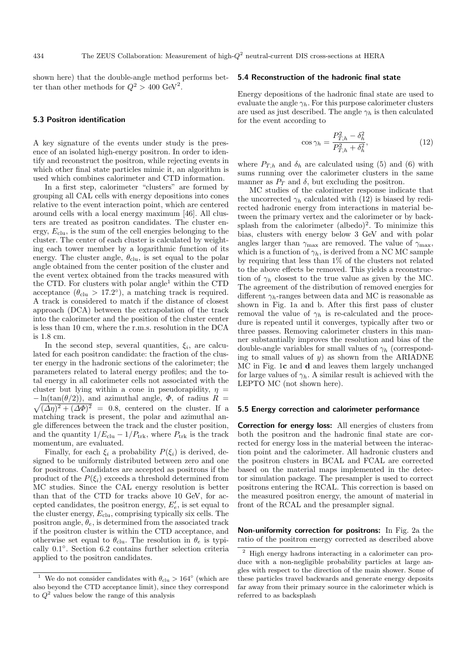shown here) that the double-angle method performs better than other methods for  $Q^2 > 400 \text{ GeV}^2$ .

#### **5.3 Positron identification**

A key signature of the events under study is the presence of an isolated high-energy positron. In order to identify and reconstruct the positron, while rejecting events in which other final state particles mimic it, an algorithm is used which combines calorimeter and CTD information.

In a first step, calorimeter "clusters" are formed by grouping all CAL cells with energy depositions into cones relative to the event interaction point, which are centered around cells with a local energy maximum [46]. All clusters are treated as positron candidates. The cluster energy,  $E_{\text{clu}}$ , is the sum of the cell energies belonging to the cluster. The center of each cluster is calculated by weighting each tower member by a logarithmic function of its energy. The cluster angle,  $\theta_{\text{clu}}$ , is set equal to the polar angle obtained from the center position of the cluster and the event vertex obtained from the tracks measured with the CTD. For clusters with polar angle<sup>1</sup> within the CTD acceptance  $(\theta_{\text{clu}} > 17.2^{\circ})$ , a matching track is required. A track is considered to match if the distance of closest approach (DCA) between the extrapolation of the track into the calorimeter and the position of the cluster center is less than 10 cm, where the r.m.s. resolution in the DCA is 1.8 cm.

In the second step, several quantities,  $\xi_i$ , are calculated for each positron candidate: the fraction of the cluster energy in the hadronic sections of the calorimeter; the parameters related to lateral energy profiles; and the total energy in all calorimeter cells not associated with the cluster but lying within a cone in pseudorapidity,  $\eta =$  $-\ln(\tan(\theta/2))$ , and azimuthal angle,  $\Phi$ , of radius  $R =$  $\sqrt{(\Delta \eta)^2 + (\Delta \Phi)^2}$  = 0.8, centered on the cluster. If a matching track is present, the polar and azimuthal angle differences between the track and the cluster position, and the quantity  $1/E_{\text{clu}} - 1/P_{\text{trk}}$ , where  $P_{\text{trk}}$  is the track momentum, are evaluated.

Finally, for each  $\xi_i$  a probability  $P(\xi_i)$  is derived, designed to be uniformly distributed between zero and one for positrons. Candidates are accepted as positrons if the product of the  $P(\xi_i)$  exceeds a threshold determined from MC studies. Since the CAL energy resolution is better than that of the CTD for tracks above 10 GeV, for accepted candidates, the positron energy,  $E'_e$ , is set equal to the cluster energy,  $E_{\text{clu}}$ , comprising typically six cells. The positron angle,  $\theta_e$ , is determined from the associated track if the positron cluster is within the CTD acceptance, and otherwise set equal to  $\theta_{\text{clu}}$ . The resolution in  $\theta_e$  is typically 0.1◦. Section 6.2 contains further selection criteria applied to the positron candidates.

#### **5.4 Reconstruction of the hadronic final state**

Energy depositions of the hadronic final state are used to evaluate the angle  $\gamma_h$ . For this purpose calorimeter clusters are used as just described. The angle  $\gamma_h$  is then calculated for the event according to

$$
\cos \gamma_h = \frac{P_{T,h}^2 - \delta_h^2}{P_{T,h}^2 + \delta_h^2},\tag{12}
$$

where  $P_{T,h}$  and  $\delta_h$  are calculated using (5) and (6) with sums running over the calorimeter clusters in the same manner as  $P_T$  and  $\delta$ , but excluding the positron.

MC studies of the calorimeter response indicate that the uncorrected  $\gamma_h$  calculated with (12) is biased by redirected hadronic energy from interactions in material between the primary vertex and the calorimeter or by backsplash from the calorimeter  $(albedo)^2$ . To minimize this bias, clusters with energy below 3 GeV and with polar angles larger than  $\gamma_{\text{max}}$  are removed. The value of  $\gamma_{\text{max}}$ , which is a function of  $\gamma_h$ , is derived from a NC MC sample by requiring that less than 1% of the clusters not related to the above effects be removed. This yields a reconstruction of  $\gamma_h$  closest to the true value as given by the MC. The agreement of the distribution of removed energies for different  $\gamma_h$ -ranges between data and MC is reasonable as shown in Fig. 1a and b. After this first pass of cluster removal the value of  $\gamma_h$  is re-calculated and the procedure is repeated until it converges, typically after two or three passes. Removing calorimeter clusters in this manner substantially improves the resolution and bias of the double-angle variables for small values of  $\gamma_h$  (corresponding to small values of  $y$ ) as shown from the ARIADNE MC in Fig. 1**c** and **d** and leaves them largely unchanged for large values of  $\gamma_h$ . A similar result is achieved with the LEPTO MC (not shown here).

#### **5.5 Energy correction and calorimeter performance**

**Correction for energy loss:** All energies of clusters from both the positron and the hadronic final state are corrected for energy loss in the material between the interaction point and the calorimeter. All hadronic clusters and the positron clusters in BCAL and FCAL are corrected based on the material maps implemented in the detector simulation package. The presampler is used to correct positrons entering the RCAL. This correction is based on the measured positron energy, the amount of material in front of the RCAL and the presampler signal.

**Non-uniformity correction for positrons:** In Fig. 2a the ratio of the positron energy corrected as described above

We do not consider candidates with  $\theta_{\text{clu}} > 164^{\circ}$  (which are also beyond the CTD acceptance limit), since they correspond to  $Q^2$  values below the range of this analysis

<sup>2</sup> High energy hadrons interacting in a calorimeter can produce with a non-negligible probability particles at large angles with respect to the direction of the main shower. Some of these particles travel backwards and generate energy deposits far away from their primary source in the calorimeter which is referred to as backsplash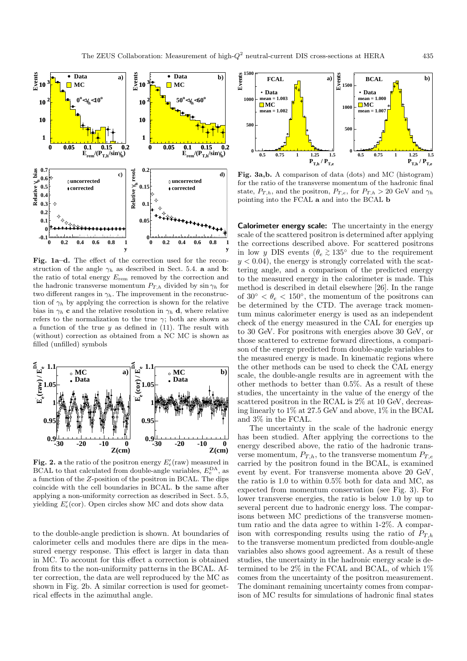

**Fig. 1a–d.** The effect of the correction used for the reconstruction of the angle  $\gamma_h$  as described in Sect. 5.4. **a** and **b**: the ratio of total energy  $E_{\text{rem}}$  removed by the correction and the hadronic transverse momentum  $P_{T,h}$  divided by  $\sin \gamma_h$  for two different ranges in  $\gamma_h$ . The improvement in the reconstruction of  $\gamma_h$  by applying the correction is shown for the relative bias in  $\gamma_h$  **c** and the relative resolution in  $\gamma_h$  **d**, where relative refers to the normalization to the true  $\gamma$ ; both are shown as a function of the true  $y$  as defined in (11). The result with (without) correction as obtained from a NC MC is shown as filled (unfilled) symbols



**Fig. 2. a** the ratio of the positron energy  $E_e'$ (raw) measured in BCAL to that calculated from double-angle variables,  $E_e^{\text{DA}}$ , as a function of the Z-position of the positron in BCAL. The dips coincide with the cell boundaries in BCAL. **b** the same after applying a non-uniformity correction as described in Sect. 5.5, yielding  $E_e'(\text{cor})$ . Open circles show MC and dots show data

to the double-angle prediction is shown. At boundaries of calorimeter cells and modules there are dips in the measured energy response. This effect is larger in data than in MC. To account for this effect a correction is obtained from fits to the non-uniformity patterns in the BCAL. After correction, the data are well reproduced by the MC as shown in Fig. 2b. A similar correction is used for geometrical effects in the azimuthal angle.



**Fig. 3a,b.** A comparison of data (dots) and MC (histogram) for the ratio of the transverse momentum of the hadronic final state,  $P_{T,h}$ , and the positron,  $P_{T,e}$ , for  $P_{T,h} > 20$  GeV and  $\gamma_h$ pointing into the FCAL **a** and into the BCAL **b**

**Calorimeter energy scale:** The uncertainty in the energy scale of the scattered positron is determined after applying the corrections described above. For scattered positrons in low y DIS events ( $\theta_e \gtrsim 135^\circ$  due to the requirement  $y < 0.04$ , the energy is strongly correlated with the scattering angle, and a comparison of the predicted energy to the measured energy in the calorimeter is made. This method is described in detail elsewhere [26]. In the range of  $30^{\circ} < \theta_e < 150^{\circ}$ , the momentum of the positrons can be determined by the CTD. The average track momentum minus calorimeter energy is used as an independent check of the energy measured in the CAL for energies up to 30 GeV. For positrons with energies above 30 GeV, or those scattered to extreme forward directions, a comparison of the energy predicted from double-angle variables to the measured energy is made. In kinematic regions where the other methods can be used to check the CAL energy scale, the double-angle results are in agreement with the other methods to better than 0.5%. As a result of these studies, the uncertainty in the value of the energy of the scattered positron in the RCAL is 2% at 10 GeV, decreasing linearly to 1% at 27.5 GeV and above, 1% in the BCAL and 3% in the FCAL.

The uncertainty in the scale of the hadronic energy has been studied. After applying the corrections to the energy described above, the ratio of the hadronic transverse momentum,  $P_{T,h}$ , to the transverse momentum  $P_{T,e}$ carried by the positron found in the BCAL, is examined event by event. For transverse momenta above 20 GeV, the ratio is 1.0 to within 0.5% both for data and MC, as expected from momentum conservation (see Fig. 3). For lower transverse energies, the ratio is below 1.0 by up to several percent due to hadronic energy loss. The comparisons between MC predictions of the transverse momentum ratio and the data agree to within 1-2%. A comparison with corresponding results using the ratio of  $P_{T,h}$ to the transverse momentum predicted from double-angle variables also shows good agreement. As a result of these studies, the uncertainty in the hadronic energy scale is determined to be 2% in the FCAL and BCAL, of which 1% comes from the uncertainty of the positron measurement. The dominant remaining uncertainty comes from comparison of MC results for simulations of hadronic final states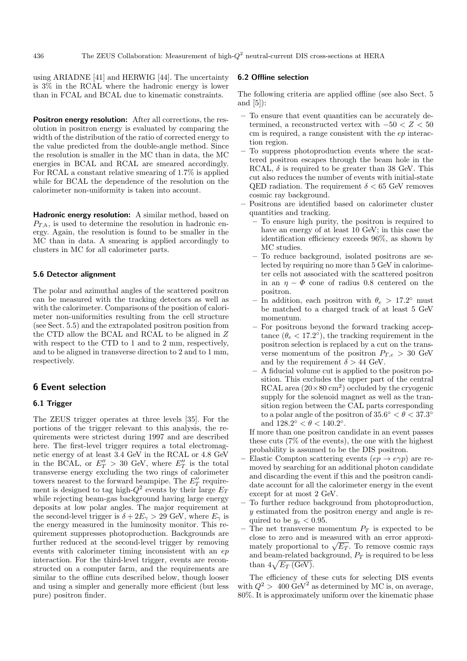using ARIADNE [41] and HERWIG [44]. The uncertainty is 3% in the RCAL where the hadronic energy is lower than in FCAL and BCAL due to kinematic constraints.

**Positron energy resolution:** After all corrections, the resolution in positron energy is evaluated by comparing the width of the distribution of the ratio of corrected energy to the value predicted from the double-angle method. Since the resolution is smaller in the MC than in data, the MC energies in BCAL and RCAL are smeared accordingly. For RCAL a constant relative smearing of 1.7% is applied while for BCAL the dependence of the resolution on the calorimeter non-uniformity is taken into account.

**Hadronic energy resolution:** A similar method, based on  $P_{T,h}$ , is used to determine the resolution in hadronic energy. Again, the resolution is found to be smaller in the MC than in data. A smearing is applied accordingly to clusters in MC for all calorimeter parts.

#### **5.6 Detector alignment**

The polar and azimuthal angles of the scattered positron can be measured with the tracking detectors as well as with the calorimeter. Comparisons of the position of calorimeter non-uniformities resulting from the cell structure (see Sect. 5.5) and the extrapolated positron position from the CTD allow the BCAL and RCAL to be aligned in Z with respect to the CTD to 1 and to 2 mm, respectively, and to be aligned in transverse direction to 2 and to 1 mm, respectively.

#### **6 Event selection**

# **6.1 Trigger**

The ZEUS trigger operates at three levels [35]. For the portions of the trigger relevant to this analysis, the requirements were strictest during 1997 and are described here. The first-level trigger requires a total electromagnetic energy of at least 3.4 GeV in the RCAL or 4.8 GeV in the BCAL, or  $E_T'' > 30$  GeV, where  $E_T''$  is the total transverse energy excluding the two rings of calorimeter towers nearest to the forward beampipe. The  $E_T''$  requirement is designed to tag high- $Q^2$  events by their large  $E_T$ while rejecting beam-gas background having large energy deposits at low polar angles. The major requirement at the second-level trigger is  $\delta + 2E_{\gamma} > 29$  GeV, where  $E_{\gamma}$  is the energy measured in the luminosity monitor. This requirement suppresses photoproduction. Backgrounds are further reduced at the second-level trigger by removing events with calorimeter timing inconsistent with an ep interaction. For the third-level trigger, events are reconstructed on a computer farm, and the requirements are similar to the offline cuts described below, though looser and using a simpler and generally more efficient (but less pure) positron finder.

#### **6.2 Offline selection**

The following criteria are applied offline (see also Sect. 5 and  $[5]$ :

- **–** To ensure that event quantities can be accurately determined, a reconstructed vertex with  $-50 < Z < 50$ cm is required, a range consistent with the ep interaction region.
- **–** To suppress photoproduction events where the scattered positron escapes through the beam hole in the RCAL,  $\delta$  is required to be greater than 38 GeV. This cut also reduces the number of events with initial-state QED radiation. The requirement  $\delta < 65$  GeV removes cosmic ray background.
- **–** Positrons are identified based on calorimeter cluster quantities and tracking.
	- **–** To ensure high purity, the positron is required to have an energy of at least 10 GeV; in this case the identification efficiency exceeds 96%, as shown by MC studies.
	- **–** To reduce background, isolated positrons are selected by requiring no more than 5 GeV in calorimeter cells not associated with the scattered positron in an  $\eta - \Phi$  cone of radius 0.8 centered on the positron.
	- In addition, each positron with  $\theta_e > 17.2^\circ$  must be matched to a charged track of at least 5 GeV momentum.
	- **–** For positrons beyond the forward tracking acceptance  $(\theta_e < 17.2^{\circ})$ , the tracking requirement in the positron selection is replaced by a cut on the transverse momentum of the positron  $P_{T,e} > 30$  GeV and by the requirement  $\delta > 44$  GeV.
	- **–** A fiducial volume cut is applied to the positron position. This excludes the upper part of the central RCAL area  $(20 \times 80 \text{ cm}^2)$  occluded by the cryogenic supply for the solenoid magnet as well as the transition region between the CAL parts corresponding to a polar angle of the positron of  $35.6° < \theta < 37.3°$ and  $128.2° < \theta < 140.2°$ .

If more than one positron candidate in an event passes these cuts (7% of the events), the one with the highest probability is assumed to be the DIS positron.

- Elastic Compton scattering events  $(ep \rightarrow e\gamma p)$  are removed by searching for an additional photon candidate and discarding the event if this and the positron candidate account for all the calorimeter energy in the event except for at most 2 GeV.
- **–** To further reduce background from photoproduction, y estimated from the positron energy and angle is required to be  $y_e < 0.95$ .
- The net transverse momentum  $P_T$  is expected to be close to zero and is measured with an error approximately proportional to  $\sqrt{E_T}$ . To remove cosmic rays and beam-related background,  $P_T$  is required to be less than  $4\sqrt{E_T (\text{GeV})}$ .

The efficiency of these cuts for selecting DIS events with  $Q^2 > 400 \text{ GeV}^2$  as determined by MC is, on average, 80%. It is approximately uniform over the kinematic phase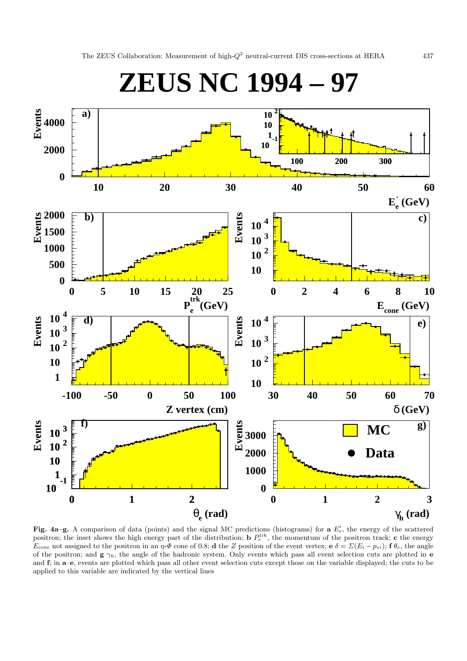

**Fig. 4a–g.** A comparison of data (points) and the signal MC predictions (histograms) for  $a E_c'$ , the energy of the scattered positron; the inset shows the high energy part of the distribution; **b**  $P_e^{\text{trk}}$ , the momentum of the positron track; **c** the energy  $E_{\text{cone}}$  not assigned to the positron in an  $\eta$ - $\Phi$  cone of 0.8; **d** the Z position of the event vertex; **e**  $\delta = \Sigma (E_i - p_{zi})$ ; **f**  $\theta_e$ , the angle of the positron; and  $g \gamma_h$ , the angle of the hadronic system. Only events which pass all event selection cuts are plotted in **e** and **f**; in **a**–**e**, events are plotted which pass all other event selection cuts except those on the variable displayed; the cuts to be applied to this variable are indicated by the vertical lines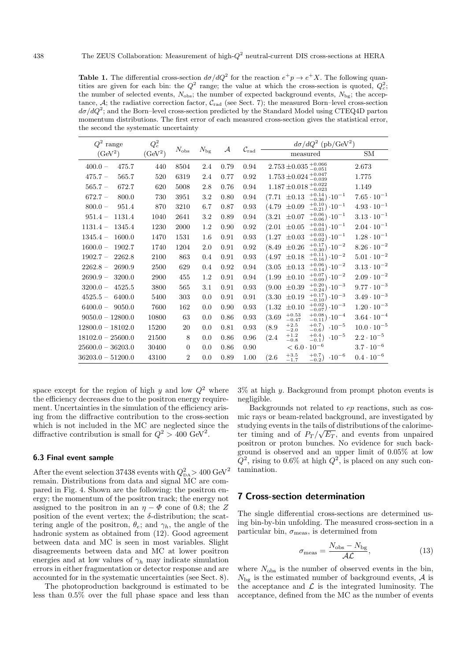**Table 1.** The differential cross-section  $d\sigma/dQ^2$  for the reaction  $e^+p \to e^+X$ . The following quantities are given for each bin: the  $Q^2$  range; the value at which the cross-section is quoted,  $Q_c^2$ ; the number of selected events,  $N_{\text{obs}}$ ; the number of expected background events,  $N_{\text{bg}}$ ; the acceptance,  $A$ ; the radiative correction factor,  $C_{rad}$  (see Sect. 7); the measured Born–level cross-section  $d\sigma/dQ^2$ ; and the Born–level cross-section predicted by the Standard Model using CTEQ4D parton momentum distributions. The first error of each measured cross-section gives the statistical error, the second the systematic uncertainty

| $Q^2$ range          | $Q_c^2$             |                |              |               |                              | $d\sigma/dQ^2$ (pb/GeV <sup>2</sup> )                                  |                      |  |
|----------------------|---------------------|----------------|--------------|---------------|------------------------------|------------------------------------------------------------------------|----------------------|--|
| (GeV <sup>2</sup> )  | (GeV <sup>2</sup> ) | $N_{\rm obs}$  | $N_{\rm bg}$ | $\mathcal{A}$ | $\mathcal{C}_{\mathrm{rad}}$ | measured                                                               | <b>SM</b>            |  |
| $400.0 -$<br>475.7   | 440                 | 8504           | 2.4          | 0.79          | 0.94                         | $2.753 \pm 0.035 {+0.066 \atop -0.051}$                                | 2.673                |  |
| 565.7<br>$475.7 -$   | 520                 | 6319           | 2.4          | 0.77          | 0.92                         | $1.753 \pm 0.024 \, {}^{+0.047}_{-0.039}$                              | 1.775                |  |
| $565.7 -$<br>672.7   | 620                 | 5008           | 2.8          | 0.76          | 0.94                         | $1.187 \pm 0.018 \, {}^{+0.022}_{-0.023}$                              | 1.149                |  |
| $672.7 -$<br>800.0   | 730                 | 3951           | 3.2          | 0.80          | 0.94                         | $_{-0.36}^{+0.14}) \cdot 10^{-1}$<br>$\pm 0.13$<br>(7.71)              | $7.65 \cdot 10^{-1}$ |  |
| 951.4<br>$800.0 -$   | 870                 | 3210           | 6.7          | 0.87          | 0.93                         | $^{+0.10}_{-0.21}) \cdot 10^{-1}$<br>(4.79)<br>$\pm 0.09$              | $4.93 \cdot 10^{-1}$ |  |
| 1131.4<br>$951.4 -$  | 1040                | 2641           | 3.2          | 0.89          | 0.94                         | $^{+0.06}_{-0.06}) \cdot 10^{-1}$<br>(3.21)<br>$\pm 0.07$              | $3.13 \cdot 10^{-1}$ |  |
| $1131.4 -$<br>1345.4 | 1230                | 2000           | 1.2          | 0.90          | 0.92                         | $^{+0.04}_{-0.03}$ . $10^{-1}$<br>(2.01)<br>$\pm 0.05$                 | $2.04 \cdot 10^{-1}$ |  |
| $1345.4 -$<br>1600.0 | 1470                | 1531           | 1.6          | 0.91          | 0.93                         | $^{+0.03}_{-0.02}) \cdot 10^{-1}$<br>(1.27)<br>$\pm 0.03$              | $1.28 \cdot 10^{-1}$ |  |
| $1600.0 -$<br>1902.7 | 1740                | 1204           | 2.0          | 0.91          | 0.92                         | $^{+0.17}_{-0.30}) \cdot 10^{-2}$<br>$\pm 0.26$<br>(8.49)              | $8.26 \cdot 10^{-2}$ |  |
| $1902.7 -$<br>2262.8 | 2100                | 863            | 0.4          | 0.91          | 0.93                         | $^{+0.11}_{-0.16}) \cdot 10^{-2}$<br>(4.97)<br>$\pm 0.18$              | $5.01 \cdot 10^{-2}$ |  |
| $2262.8 -$<br>2690.9 | 2500                | 629            | 0.4          | 0.92          | 0.94                         | $^{+0.06}_{-0.14}) \cdot 10^{-2}$<br>(3.05)<br>$\pm 0.13$              | $3.13 \cdot 10^{-2}$ |  |
| $2690.9 -$<br>3200.0 | 2900                | 455            | 1.2          | 0.91          | 0.94                         | $^{+0.07}_{-0.09})\,\cdot\!10^{-2}$<br>(1.99)<br>$\pm 0.10$            | $2.09 \cdot 10^{-2}$ |  |
| 4525.5<br>$3200.0 -$ | 3800                | 565            | $3.1\,$      | 0.91          | 0.93                         | $^{+0.20}_{-0.24}) \cdot 10^{-3}$<br>(9.00)<br>$\pm 0.39$              | $9.77 \cdot 10^{-3}$ |  |
| $4525.5 -$<br>6400.0 | 5400                | 303            | 0.0          | 0.91          | 0.91                         | $^{+0.17}_{-0.10}$ . $10^{-3}$<br>(3.30)<br>$\pm 0.19$                 | $3.49 \cdot 10^{-3}$ |  |
| $6400.0 -$<br>9050.0 | 7600                | 162            | 0.0          | 0.90          | 0.93                         | $^{+0.02}_{-0.07}) \cdot 10^{-3}$<br>(1.32)<br>$\pm 0.10$              | $1.20 \cdot 10^{-3}$ |  |
| $9050.0 - 12800.0$   | 10800               | 63             | 0.0          | 0.86          | 0.93                         | $+0.53$<br>$^{+0.08}_{-0.11})$<br>$\cdot 10^{-4}$<br>(3.69)<br>$-0.47$ | $3.64 \cdot 10^{-4}$ |  |
| $12800.0 - 18102.0$  | 15200               | 20             | 0.0          | 0.81          | 0.93                         | $+2.5$<br>$+0.7$<br>$\cdot 10^{-5}$<br>(8.9)<br>$-0.6$<br>$-2.0$       | $10.0 \cdot 10^{-5}$ |  |
| $18102.0 - 25600.0$  | 21500               | 8              | 0.0          | 0.86          | 0.96                         | $+1.2$<br>$^{+0.4}_{-0.1})$<br>$\cdot 10^{-5}$<br>(2.4)<br>$-0.8$      | $2.2 \cdot 10^{-5}$  |  |
| $25600.0 - 36203.0$  | 30400               | $\overline{0}$ | 0.0          | 0.86          | 0.90                         | $10^{-6}$<br>$< 6.0 \cdot$                                             | $3.7 \cdot 10^{-6}$  |  |
| $36203.0 - 51200.0$  | 43100               | $\overline{2}$ | 0.0          | 0.89          | 1.00                         | $+3.5$<br>$+0.7$<br>$\cdot 10^{-6}$<br>(2.6)<br>$-0.2)$<br>$-1.7$      | $0.4 \cdot 10^{-6}$  |  |

space except for the region of high  $y$  and low  $Q^2$  where the efficiency decreases due to the positron energy requirement. Uncertainties in the simulation of the efficiency arising from the diffractive contribution to the cross-section which is not included in the MC are neglected since the diffractive contribution is small for  $Q^2 > 400 \text{ GeV}^2$ .

#### **6.3 Final event sample**

After the event selection 37438 events with  $Q_{\text{DA}}^2 > 400 \text{ GeV}^2$ remain. Distributions from data and signal MC are compared in Fig. 4. Shown are the following: the positron energy; the momentum of the positron track; the energy not assigned to the positron in an  $\eta - \Phi$  cone of 0.8; the Z position of the event vertex; the  $\delta$ -distribution; the scattering angle of the positron,  $\theta_e$ ; and  $\gamma_h$ , the angle of the hadronic system as obtained from (12). Good agreement between data and MC is seen in most variables. Slight disagreements between data and MC at lower positron energies and at low values of  $\gamma_h$  may indicate simulation errors in either fragmentation or detector response and are accounted for in the systematic uncertainties (see Sect. 8).

The photoproduction background is estimated to be less than 0.5% over the full phase space and less than  $3\%$  at high y. Background from prompt photon events is negligible.

Backgrounds not related to ep reactions, such as cosmic rays or beam-related background, are investigated by studying events in the tails of distributions of the calorimeter timing and of  $P_T / \sqrt{E_T}$ , and events from unpaired positron or proton bunches. No evidence for such background is observed and an upper limit of 0.05% at low  $Q^2$ , rising to 0.6% at high  $Q^2$ , is placed on any such contamination.

# **7 Cross-section determination**

The single differential cross-sections are determined using bin-by-bin unfolding. The measured cross-section in a particular bin,  $\sigma_{\text{meas}}$ , is determined from

$$
\sigma_{\text{meas}} = \frac{N_{\text{obs}} - N_{\text{bg}}}{\mathcal{A}\mathcal{L}},\tag{13}
$$

where  $N_{\text{obs}}$  is the number of observed events in the bin,  $N_{\text{bg}}$  is the estimated number of background events, A is the acceptance and  $\mathcal L$  is the integrated luminosity. The acceptance, defined from the MC as the number of events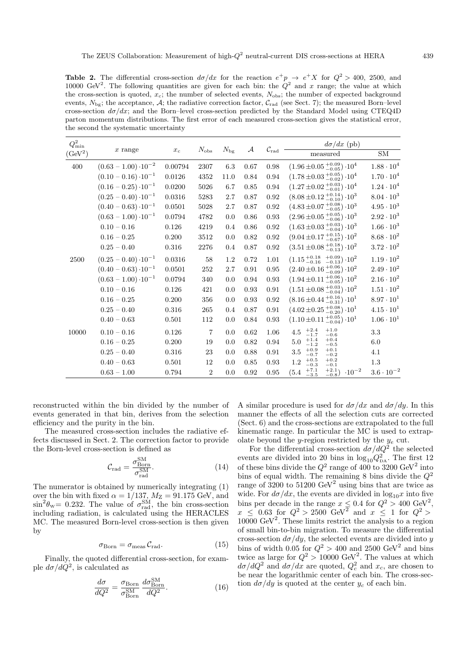**Table 2.** The differential cross-section  $d\sigma/dx$  for the reaction  $e^+p \to e^+X$  for  $Q^2 > 400$ , 2500, and 10000 GeV<sup>2</sup>. The following quantities are given for each bin: the  $Q^2$  and x range; the value at which the cross-section is quoted,  $x_c$ ; the number of selected events,  $N_{\text{obs}}$ ; the number of expected background events,  $N_{\text{bg}}$ ; the acceptance, A; the radiative correction factor,  $C_{\text{rad}}$  (see Sect. 7); the measured Born–level cross-section  $d\sigma/dx$ ; and the Born–level cross-section predicted by the Standard Model using CTEQ4D parton momentum distributions. The first error of each measured cross-section gives the statistical error, the second the systematic uncertainty

| $Q_{\min}^2$        |                               | $x_c$   | $N_{\rm obs}$  | $N_{\rm bg}$ | $\mathcal{A}$ | $\mathcal{C}_{\rm rad}$ | $d\sigma/dx$ (pb)                                                 |                     |
|---------------------|-------------------------------|---------|----------------|--------------|---------------|-------------------------|-------------------------------------------------------------------|---------------------|
| (GeV <sup>2</sup> ) | $x$ range                     |         |                |              |               |                         | measured                                                          | SM                  |
| 400                 | $(0.63 - 1.00) \cdot 10^{-2}$ | 0.00794 | 2307           | 6.3          | 0.67          | 0.98                    | $(1.96 \pm 0.05 \frac{+0.09}{-0.05}) \cdot 10^4$                  | $1.88 \cdot 10^{4}$ |
|                     | $(0.10 - 0.16) \cdot 10^{-1}$ | 0.0126  | 4352           | 11.0         | 0.84          | 0.94                    | $(1.78 \pm 0.03 \frac{+0.05}{-0.02}) \cdot 10^4$                  | $1.70 \cdot 10^{4}$ |
|                     | $(0.16 - 0.25) \cdot 10^{-1}$ | 0.0200  | 5026           | 6.7          | 0.85          | 0.94                    | $(1.27 \pm 0.02 \frac{+0.03}{-0.01}) \cdot 10^4$                  | $1.24 \cdot 10^{4}$ |
|                     | $(0.25 - 0.40) \cdot 10^{-1}$ | 0.0316  | 5283           | 2.7          | 0.87          | 0.92                    | $(8.08 \pm 0.12 \frac{+0.14}{-0.10}) \cdot 10^3$                  | $8.04 \cdot 10^3$   |
|                     | $(0.40 - 0.63) \cdot 10^{-1}$ | 0.0501  | 5028           | 2.7          | 0.87          | 0.92                    | $(4.83 \pm 0.07 \frac{+0.08}{-0.05}) \cdot 10^3$                  | $4.95 \cdot 10^3$   |
|                     | $(0.63 - 1.00) \cdot 10^{-1}$ | 0.0794  | 4782           | 0.0          | 0.86          | 0.93                    | $(2.96 \pm 0.05 \frac{+0.05}{-0.06}) \cdot 10^3$                  | $2.92 \cdot 10^{3}$ |
|                     | $0.10 - 0.16$                 | 0.126   | 4219           | 0.4          | 0.86          | 0.92                    | $(1.63 \pm 0.03 \frac{+0.03}{-0.04}) \cdot 10^3$                  | $1.66 \cdot 10^{3}$ |
|                     | $0.16 - 0.25$                 | 0.200   | 3512           | 0.0          | 0.82          | 0.92                    | $(9.04 \pm 0.17 \frac{+0.15}{-0.67}) \cdot 10^2$                  | $8.68 \cdot 10^{2}$ |
|                     | $0.25 - 0.40$                 | 0.316   | 2276           | 0.4          | 0.87          | 0.92                    | $(3.51 \pm 0.08 \frac{+0.18}{-0.13}) \cdot 10^2$                  | $3.72 \cdot 10^{2}$ |
| 2500                | $(0.25 - 0.40) \cdot 10^{-1}$ | 0.0316  | 58             | 1.2          | 0.72          | 1.01                    | $(1.15 \frac{+0.18}{-0.16} \frac{+0.09}{-0.13}) \cdot 10^2$       | $1.19 \cdot 10^{2}$ |
|                     | $(0.40 - 0.63) \cdot 10^{-1}$ | 0.0501  | 252            | 2.7          | 0.91          | 0.95                    | $(2.40 \pm 0.16 \frac{+0.06}{-0.09}) \cdot 10^2$                  | $2.49 \cdot 10^{2}$ |
|                     | $(0.63 - 1.00) \cdot 10^{-1}$ | 0.0794  | 340            | 0.0          | 0.94          | 0.93                    | $(1.94 \pm 0.11_{-0.05}^{+0.06}) \cdot 10^{2}$                    | $2.16 \cdot 10^{2}$ |
|                     | $0.10 - 0.16$                 | 0.126   | 421            | 0.0          | 0.93          | 0.91                    | $(1.51 \pm 0.08 \frac{+0.03}{-0.04}) \cdot 10^2$                  | $1.51 \cdot 10^{2}$ |
|                     | $0.16 - 0.25$                 | 0.200   | 356            | 0.0          | 0.93          | 0.92                    | $(8.16 \pm 0.44 \frac{+0.16}{-0.31}) \cdot 10^1$                  | $8.97 \cdot 10^{1}$ |
|                     | $0.25 - 0.40$                 | 0.316   | 265            | 0.4          | 0.87          | 0.91                    | $(4.02 \pm 0.25 \frac{+0.08}{-0.20}) \cdot 10^{1}$                | $4.15 \cdot 10^{1}$ |
|                     | $0.40 - 0.63$                 | 0.501   | 112            | 0.0          | 0.84          | 0.93                    | $(1.10 \pm 0.11 \frac{+0.05}{-0.04}) \cdot 10^{1}$                | $1.06 \cdot 10^{1}$ |
| 10000               | $0.10 - 0.16$                 | 0.126   | $\overline{7}$ | 0.0          | 0.62          | 1.06                    | $^{+2.4}_{-1.7}$<br>$+1.0$<br>4.5<br>$-0.6$                       | 3.3                 |
|                     | $0.16 - 0.25$                 | 0.200   | 19             | 0.0          | 0.82          | 0.94                    | $+0.4$<br>$^{+1.4}_{-1.2}$<br>5.0<br>$-0.5$                       | 6.0                 |
|                     | $0.25 - 0.40$                 | 0.316   | 23             | 0.0          | 0.88          | 0.91                    | $+0.1$<br>$+0.9$<br>$3.5\,$<br>$-0.7$<br>$-0.2$                   | 4.1                 |
|                     | $0.40 - 0.63$                 | 0.501   | 12             | 0.0          | 0.85          | 0.93                    | $+0.2$<br>$+0.5$<br>1.2<br>$-0.3$<br>$-0.1$                       | 1.3                 |
|                     | $0.63 - 1.00$                 | 0.794   | $\overline{2}$ | 0.0          | 0.92          | 0.95                    | $^{+2.1}_{-0.8})$<br>$^{+7.1}_{-3.5}$<br>$\cdot 10^{-2}$<br>(5.4) | $3.6 \cdot 10^{-2}$ |

reconstructed within the bin divided by the number of events generated in that bin, derives from the selection efficiency and the purity in the bin.

The measured cross-section includes the radiative effects discussed in Sect. 2. The correction factor to provide the Born-level cross-section is defined as

$$
\mathcal{C}_{\rm rad} = \frac{\sigma_{\rm Born}^{\rm SM}}{\sigma_{\rm rad}^{\rm SM}}.\tag{14}
$$

The numerator is obtained by numerically integrating (1) over the bin with fixed  $\alpha = 1/137$ ,  $M_Z = 91.175$  GeV, and  $\sin^2\theta_{\rm w}=0.232$ . The value of  $\sigma_{\rm rad}^{\rm SM}$ , the bin cross-section including radiation, is calculated using the HERACLES MC. The measured Born-level cross-section is then given by

$$
\sigma_{\text{Born}} = \sigma_{\text{meas}} \, \mathcal{C}_{\text{rad}}.\tag{15}
$$

Finally, the quoted differential cross-section, for example  $d\sigma/dQ^2$ , is calculated as

$$
\frac{d\sigma}{dQ^2} = \frac{\sigma_{\text{Born}}}{\sigma_{\text{Born}}^{\text{SM}}} \frac{d\sigma_{\text{Born}}^{\text{SM}}}{dQ^2}.
$$
\n(16)

A similar procedure is used for  $d\sigma/dx$  and  $d\sigma/dy$ . In this manner the effects of all the selection cuts are corrected (Sect. 6) and the cross-sections are extrapolated to the full kinematic range. In particular the MC is used to extrapolate beyond the y-region restricted by the  $y_e$  cut.

For the differential cross-section  $d\sigma/dQ^2$  the selected events are divided into 20 bins in  $\log_{10}Q_{\text{DA}}^2$ . The first 12 of these bins divide the  $Q^2$  range of 400 to 3200 GeV<sup>2</sup> into bins of equal width. The remaining 8 bins divide the  $Q^2$ range of 3200 to  $51200 \text{ GeV}^2$  using bins that are twice as wide. For  $d\sigma/dx$ , the events are divided in  $\log_{10}x$  into five bins per decade in the range  $x \leq 0.4$  for  $Q^2 > 400 \text{ GeV}^2$ ,  $x \leq 0.63$  for  $Q^2 > 2500$  GeV<sup>2</sup> and  $x \leq 1$  for  $Q^2 > 1$  $10000 \text{ GeV}^2$ . These limits restrict the analysis to a region of small bin-to-bin migration. To measure the differential cross-section  $d\sigma/dy$ , the selected events are divided into y bins of width 0.05 for  $Q^2 > 400$  and 2500 GeV<sup>2</sup> and bins twice as large for  $Q^2 > 10000$  GeV<sup>2</sup>. The values at which  $d\sigma/dQ^2$  and  $d\sigma/dx$  are quoted,  $Q_c^2$  and  $x_c$ , are chosen to be near the logarithmic center of each bin. The cross-section  $d\sigma/dy$  is quoted at the center  $y_c$  of each bin.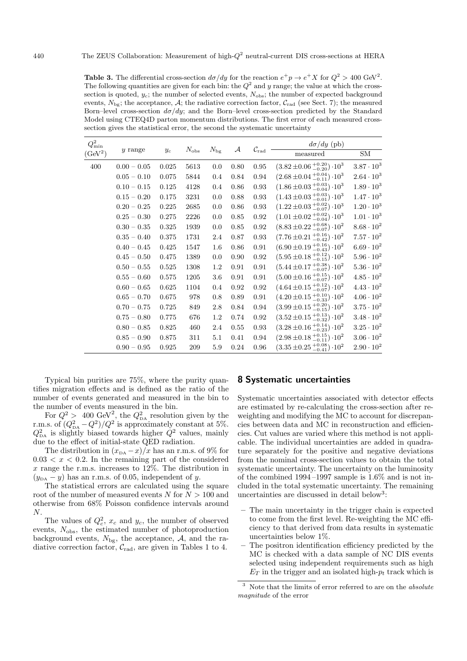**Table 3.** The differential cross-section  $d\sigma/dy$  for the reaction  $e^+p \to e^+X$  for  $Q^2 > 400 \text{ GeV}^2$ . The following quantities are given for each bin: the  $Q^2$  and y range; the value at which the crosssection is quoted,  $y_c$ ; the number of selected events,  $N_{\text{obs}}$ ; the number of expected background events,  $N_{\text{bg}}$ ; the acceptance, A; the radiative correction factor,  $C_{\text{rad}}$  (see Sect. 7); the measured Born–level cross-section  $d\sigma/dy$ ; and the Born–level cross-section predicted by the Standard Model using CTEQ4D parton momentum distributions. The first error of each measured crosssection gives the statistical error, the second the systematic uncertainty

| $Q_{\min}^2$        | $y$ range     | $y_c$     | $N_{\rm obs}$ | $N_{\rm bg}$ | ${\cal A}$ | $\mathcal{C}_{\rm rad}$ | $d\sigma/dy$ (pb)                                |                     |
|---------------------|---------------|-----------|---------------|--------------|------------|-------------------------|--------------------------------------------------|---------------------|
| (GeV <sup>2</sup> ) |               |           |               |              |            |                         | measured                                         | SM                  |
| 400                 | $0.00 - 0.05$ | 0.025     | 5613          | 0.0          | 0.80       | 0.95                    | $(3.82 \pm 0.06 \frac{+0.20}{-0.20}) \cdot 10^3$ | $3.87\cdot 10^3$    |
|                     | $0.05 - 0.10$ | 0.075     | 5844          | 0.4          | 0.84       | 0.94                    | $(2.68 \pm 0.04 \frac{+0.04}{-0.11}) \cdot 10^3$ | $2.64 \cdot 10^{3}$ |
|                     | $0.10 - 0.15$ | 0.125     | 4128          | 0.4          | 0.86       | 0.93                    | $(1.86 \pm 0.03 \frac{+0.03}{-0.04}) \cdot 10^3$ | $1.89 \cdot 10^{3}$ |
|                     | $0.15 - 0.20$ | 0.175     | 3231          | 0.0          | 0.88       | 0.93                    | $(1.43 \pm 0.03 \pm 0.03 \pm 0.01) \cdot 10^{3}$ | $1.47 \cdot 10^{3}$ |
|                     | $0.20 - 0.25$ | 0.225     | 2685          | 0.0          | 0.86       | 0.93                    | $(1.22 \pm 0.03 \frac{+0.02}{-0.07}) \cdot 10^3$ | $1.20 \cdot 10^3$   |
|                     | $0.25 - 0.30$ | $0.275\,$ | 2226          | 0.0          | 0.85       | 0.92                    | $(1.01 \pm 0.02 \frac{+0.02}{-0.04}) \cdot 10^3$ | $1.01 \cdot 10^{3}$ |
|                     | $0.30 - 0.35$ | 0.325     | 1939          | 0.0          | 0.85       | 0.92                    | $(8.83 \pm 0.22 \frac{+0.68}{-0.07}) \cdot 10^2$ | $8.68 \cdot 10^{2}$ |
|                     | $0.35 - 0.40$ | 0.375     | 1731          | 2.4          | 0.87       | 0.93                    | $(7.76 \pm 0.21 \frac{+0.16}{-0.42}) \cdot 10^2$ | $7.57 \cdot 10^{2}$ |
|                     | $0.40 - 0.45$ | 0.425     | 1547          | 1.6          | 0.86       | $0.91\,$                | $(6.90 \pm 0.19 \frac{+0.16}{-0.43}) \cdot 10^2$ | $6.69 \cdot 10^{2}$ |
|                     | $0.45 - 0.50$ | 0.475     | 1389          | 0.0          | 0.90       | 0.92                    | $(5.95 \pm 0.18 \frac{+0.12}{-0.15}) \cdot 10^2$ | $5.96\cdot 10^2$    |
|                     | $0.50 - 0.55$ | 0.525     | 1308          | 1.2          | 0.91       | 0.91                    | $(5.44 \pm 0.17 \frac{+0.38}{-0.07}) \cdot 10^2$ | $5.36 \cdot 10^{2}$ |
|                     | $0.55 - 0.60$ | 0.575     | 1205          | 3.6          | 0.91       | 0.91                    | $(5.00 \pm 0.16 \pm 0.15 \pm 0.07) \cdot 10^{2}$ | $4.85 \cdot 10^{2}$ |
|                     | $0.60 - 0.65$ | 0.625     | 1104          | 0.4          | 0.92       | 0.92                    | $(4.64 \pm 0.15 \frac{+0.12}{-0.07}) \cdot 10^2$ | $4.43 \cdot 10^{2}$ |
|                     | $0.65 - 0.70$ | 0.675     | 978           | 0.8          | 0.89       | 0.91                    | $(4.20 \pm 0.15 \frac{+0.10}{-0.33}) \cdot 10^2$ | $4.06 \cdot 10^{2}$ |
|                     | $0.70 - 0.75$ | 0.725     | 849           | 2.8          | 0.84       | 0.94                    | $(3.99 \pm 0.15 \frac{+0.20}{-0.15}) \cdot 10^2$ | $3.75 \cdot 10^{2}$ |
|                     | $0.75 - 0.80$ | 0.775     | 676           | 1.2          | 0.74       | 0.92                    | $(3.52 \pm 0.15 \frac{+0.13}{-0.32}) \cdot 10^2$ | $3.48 \cdot 10^{2}$ |
|                     | $0.80 - 0.85$ | 0.825     | 460           | 2.4          | 0.55       | 0.93                    | $(3.28 \pm 0.16 \frac{+0.14}{-0.23}) \cdot 10^2$ | $3.25\cdot 10^2$    |
|                     | $0.85 - 0.90$ | 0.875     | 311           | 5.1          | 0.41       | 0.94                    | $(2.98 \pm 0.18 \frac{+0.15}{-0.11}) \cdot 10^2$ | $3.06 \cdot 10^{2}$ |
|                     | $0.90 - 0.95$ | 0.925     | 209           | $5.9\,$      | 0.24       | 0.96                    | $(3.35\pm0.25\,{}^{+0.08}_{-0.41})\cdot10^{2}$   | $2.90 \cdot 10^{2}$ |

Typical bin purities are 75%, where the purity quantifies migration effects and is defined as the ratio of the number of events generated and measured in the bin to the number of events measured in the bin.

For  $Q^2 > 400 \text{ GeV}^2$ , the  $Q_{DA}^2$  resolution given by the r.m.s. of  $(Q_{\text{DA}}^2 - Q^2)/Q^2$  is approximately constant at 5%.  $Q_{\text{DA}}^2$  is slightly biased towards higher  $Q^2$  values, mainly due to the effect of initial-state QED radiation.

The distribution in  $(x<sub>DA</sub> - x)/x$  has an r.m.s. of 9% for  $0.03 < x < 0.2$ . In the remaining part of the considered x range the r.m.s. increases to 12%. The distribution in  $(y_{DA} - y)$  has an r.m.s. of 0.05, independent of y.

The statistical errors are calculated using the square root of the number of measured events  $N$  for  $N>100$  and otherwise from 68% Poisson confidence intervals around N.

The values of  $Q_c^2$ ,  $x_c$  and  $y_c$ , the number of observed events,  $N_{\text{obs}}$ , the estimated number of photoproduction background events,  $N_{\text{bg}}$ , the acceptance, A, and the radiative correction factor,  $C_{\text{rad}}$ , are given in Tables 1 to 4.

# **8 Systematic uncertainties**

Systematic uncertainties associated with detector effects are estimated by re-calculating the cross-section after reweighting and modifying the MC to account for discrepancies between data and MC in reconstruction and efficiencies. Cut values are varied where this method is not applicable. The individual uncertainties are added in quadrature separately for the positive and negative deviations from the nominal cross-section values to obtain the total systematic uncertainty. The uncertainty on the luminosity of the combined 1994 –1997 sample is 1.6% and is not included in the total systematic uncertainty. The remaining uncertainties are discussed in detail below<sup>3</sup>:

- **–** The main uncertainty in the trigger chain is expected to come from the first level. Re-weighting the MC efficiency to that derived from data results in systematic uncertainties below 1%.
- **–** The positron identification efficiency predicted by the MC is checked with a data sample of NC DIS events selected using independent requirements such as high  $E_T$  in the trigger and an isolated high- $p_t$  track which is

 $3$  Note that the limits of error referred to are on the *absolute* magnitude of the error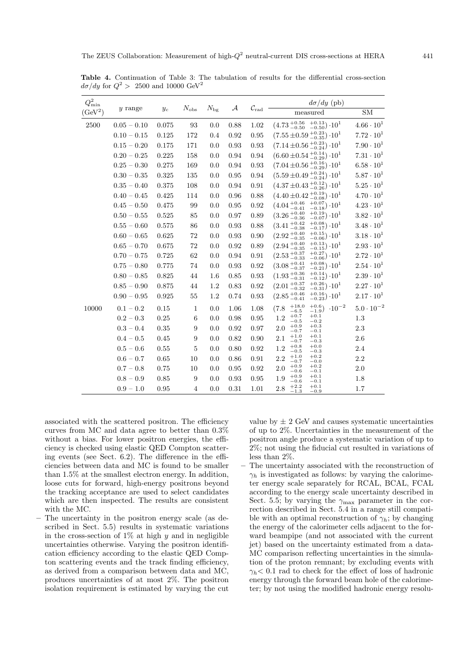| $Q^2_{\rm min}$     |               |             |               |              |              |                              | $d\sigma/dy$ (pb)                                                            |                     |  |
|---------------------|---------------|-------------|---------------|--------------|--------------|------------------------------|------------------------------------------------------------------------------|---------------------|--|
| (GeV <sup>2</sup> ) | $y$ range     | $y_c$       | $N_{\rm obs}$ | $N_{\rm bg}$ | $\mathcal A$ | $\mathcal{C}_{\mathrm{rad}}$ | measured                                                                     | SM                  |  |
| 2500                | $0.05 - 0.10$ | 0.075       | 93            | 0.0          | 0.88         | 1.02                         | $(4.73_{-0.50}^{+0.56}~_{-0.50}^{+0.13})\cdot 10^{1}$                        | $4.66 \cdot 10^{1}$ |  |
|                     | $0.10 - 0.15$ | 0.125       | 172           | 0.4          | $\rm 0.92$   | 0.95                         | $(7.55 \pm 0.59 \frac{+0.23}{-0.35}) \cdot 10^1$                             | $7.72 \cdot 10^{1}$ |  |
|                     | $0.15 - 0.20$ | 0.175       | 171           | 0.0          | 0.93         | 0.93                         | $(7.14 \pm 0.56 \frac{+0.23}{-0.24}) \cdot 10^{1}$                           | $7.90 \cdot 10^{1}$ |  |
|                     | $0.20 - 0.25$ | 0.225       | 158           | 0.0          | 0.94         | 0.94                         | $(6.60 \pm 0.54 \frac{+0.14}{-0.29}) \cdot 10^1$                             | $7.31 \cdot 10^{1}$ |  |
|                     | $0.25 - 0.30$ | 0.275       | 169           | 0.0          | 0.94         | 0.93                         | $(7.04 \pm 0.56 \frac{+0.16}{-0.29}) \cdot 10^{1}$                           | $6.58 \cdot 10^{1}$ |  |
|                     | $0.30 - 0.35$ | 0.325       | 135           | 0.0          | 0.95         | 0.94                         | $(5.59 \pm 0.49 \frac{+0.24}{-0.24}) \cdot 10^1$                             | $5.87 \cdot 10^{1}$ |  |
|                     | $0.35 - 0.40$ | 0.375       | 108           | 0.0          | 0.94         | 0.91                         | $(4.37 \pm 0.43 \frac{+0.12}{-0.26}) \cdot 10^{1}$                           | $5.25 \cdot 10^{1}$ |  |
|                     | $0.40 - 0.45$ | 0.425       | 114           | 0.0          | 0.96         | 0.88                         | $(4.40 \pm 0.42 \frac{+0.19}{-0.08}) \cdot 10^{1}$                           | $4.70 \cdot 10^{1}$ |  |
|                     | $0.45 - 0.50$ | 0.475       | 99            | 0.0          | 0.95         | 0.92                         | $(4.04_{-0.41}^{+0.46}~{}^{+0.07}_{-0.18})\cdot10^{1}$                       | $4.23 \cdot 10^{1}$ |  |
|                     | $0.50 - 0.55$ | 0.525       | 85            | 0.0          | 0.97         | 0.89                         | $(3.26\,{}^{+0.40}_{-0.36})$<br>$^{+0.19}_{-0.07}$ .10 <sup>1</sup>          | $3.82 \cdot 10^{1}$ |  |
|                     | $0.55 - 0.60$ | 0.575       | 86            | 0.0          | 0.93         | 0.88                         | $(3.41_{\,-0.38}^{\,+0.42}$<br>$^{+0.08}_{-0.17}) \cdot 10^{1}$              | $3.48 \cdot 10^{1}$ |  |
|                     | $0.60 - 0.65$ | $\,0.625\,$ | $72\,$        | 0.0          | 0.93         | 0.90                         | $^{+0.15}_{-0.06}$ ) $\cdot$ 10 <sup>1</sup><br>$(2.92\,{}^{+0.40}_{-0.35})$ | $3.18 \cdot 10^{1}$ |  |
|                     | $0.65 - 0.70$ | 0.675       | $72\,$        | 0.0          | 0.92         | 0.89                         | $_{-0.15}^{+0.13}) \cdot 10^{1}$<br>$(2.94\,{}^{+0.40}_{-0.35})$             | $2.93 \cdot 10^{1}$ |  |
|                     | $0.70 - 0.75$ | 0.725       | 62            | 0.0          | 0.94         | 0.91                         | $^{+0.27}_{-0.06})\cdot10^{1}$<br>$(2.53\,{}^{+0.37}_{-0.33})$               | $2.72 \cdot 10^{1}$ |  |
|                     | $0.75 - 0.80$ | 0.775       | 74            | 0.0          | 0.93         | 0.92                         | $^{+0.08}_{-0.21})\,\cdot\!10^{1}$<br>$(3.08 \frac{+0.41}{-0.27})$           | $2.54 \cdot 10^{1}$ |  |
|                     | $0.80 - 0.85$ | 0.825       | 44            | 1.6          | 0.85         | 0.93                         | $+0.14$<br>$(1.93\,{}^{+0.36}_{-0.31})$<br>$\cdot 10^{1}$<br>$-0.12)$        | $2.39 \cdot 10^{1}$ |  |
|                     | $0.85 - 0.90$ | 0.875       | 44            | 1.2          | 0.83         | 0.92                         | $^{+0.26}_{-0.31})$<br>$(2.01_{-0.22}^{+0.37})$<br>$\cdot 10^{1}$            | $2.27 \cdot 10^{1}$ |  |
|                     | $0.90 - 0.95$ | 0.925       | 55            | 1.2          | 0.74         | 0.93                         | $^{+0.16}_{-0.23})$<br>$(2.85\,{}^{+0.46}_{-0.41})$<br>$\cdot 10^{1}$        | $2.17 \cdot 10^{1}$ |  |
| 10000               | $0.1 - 0.2$   | 0.15        | $\mathbf{1}$  | 0.0          | 1.06         | 1.08                         | $+18.0$<br>$^{+0.6}_{-1.9}$ )<br>$\cdot 10^{-2}$<br>(7.8)<br>$-6.5$          | $5.0\cdot10^{-2}$   |  |
|                     | $0.2 - 0.3$   | 0.25        | 6             | 0.0          | 0.98         | 0.95                         | $\substack{+0.1 \\ -0.2}$<br>$+0.7$<br>1.2<br>$-0.5$                         | $1.3\,$             |  |
|                     | $0.3 - 0.4$   | 0.35        | 9             | 0.0          | 0.92         | 0.97                         | $+0.3$<br>$+0.9$<br>2.0<br>$-0.1$<br>$-0.7$                                  | 2.3                 |  |
|                     | $0.4 - 0.5$   | $0.45\,$    | 9             | 0.0          | 0.82         | 0.90                         | $+0.1$<br>$+1.0$<br>2.1<br>$-0.3$<br>$-0.7$                                  | $2.6\,$             |  |
|                     | $0.5 - 0.6$   | 0.55        | 5             | 0.0          | 0.80         | 0.92                         | $+0.0$<br>$+0.8$<br>1.2<br>$-0.3$<br>$^{ -0.5}$                              | 2.4                 |  |
|                     | $0.6 - 0.7$   | $0.65\,$    | 10            | 0.0          | 0.86         | 0.91                         | $+0.2$<br>$+1.0$<br>2.2<br>$-0.0$<br>$-0.7$                                  | $2.2\,$             |  |
|                     | $0.7 - 0.8$   | 0.75        | 10            | 0.0          | 0.95         | 0.92                         | $+0.2$<br>$+0.9$<br>2.0<br>$-0.1$<br>$-0.6$                                  | 2.0                 |  |
|                     | $0.8 - 0.9$   | 0.85        | 9             | 0.0          | 0.93         | 0.95                         | $+0.1$<br>$+0.9$<br>1.9<br>$-0.1$<br>$^{-0.6}$                               | 1.8                 |  |
|                     | $0.9 - 1.0$   | $0.95\,$    | 4             | 0.0          | 0.31         | 1.01                         | $+0.1$<br>$+2.2$<br>2.8<br>$-1.3$<br>$-0.9$                                  | 1.7                 |  |

**Table 4.** Continuation of Table 3: The tabulation of results for the differential cross-section  $d\sigma/dy$  for  $Q^2 > 2500$  and 10000 GeV<sup>2</sup>

associated with the scattered positron. The efficiency curves from MC and data agree to better than 0.3% without a bias. For lower positron energies, the efficiency is checked using elastic QED Compton scattering events (see Sect. 6.2). The difference in the efficiencies between data and MC is found to be smaller than 1.5% at the smallest electron energy. In addition, loose cuts for forward, high-energy positrons beyond the tracking acceptance are used to select candidates which are then inspected. The results are consistent with the MC.

**–** The uncertainty in the positron energy scale (as described in Sect. 5.5) results in systematic variations in the cross-section of  $1\%$  at high y and in negligible uncertainties otherwise. Varying the positron identification efficiency according to the elastic QED Compton scattering events and the track finding efficiency, as derived from a comparison between data and MC, produces uncertainties of at most 2%. The positron isolation requirement is estimated by varying the cut

value by  $\pm$  2 GeV and causes systematic uncertainties of up to 2%. Uncertainties in the measurement of the positron angle produce a systematic variation of up to 2%; not using the fiducial cut resulted in variations of less than 2%.

**–** The uncertainty associated with the reconstruction of  $\gamma_h$  is investigated as follows: by varying the calorimeter energy scale separately for RCAL, BCAL, FCAL according to the energy scale uncertainty described in Sect. 5.5; by varying the  $\gamma_{\text{max}}$  parameter in the correction described in Sect. 5.4 in a range still compatible with an optimal reconstruction of  $\gamma_h$ ; by changing the energy of the calorimeter cells adjacent to the forward beampipe (and not associated with the current jet) based on the uncertainty estimated from a data-MC comparison reflecting uncertainties in the simulation of the proton remnant; by excluding events with  $\gamma_h$  < 0.1 rad to check for the effect of loss of hadronic energy through the forward beam hole of the calorimeter; by not using the modified hadronic energy resolu-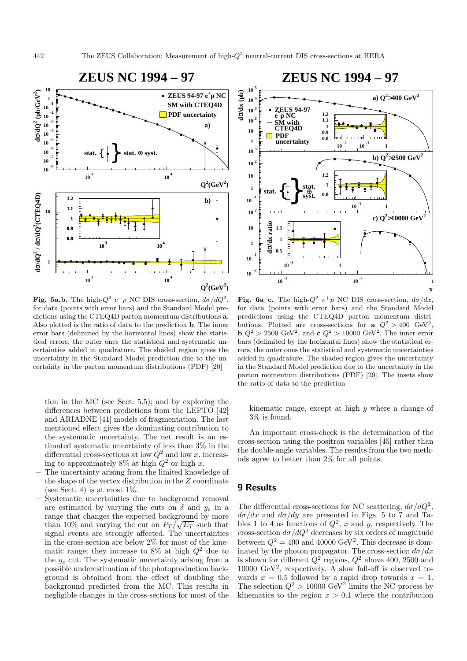

**Fig. 5a,b.** The high- $Q^2 e^+p$  NC DIS cross-section,  $d\sigma/dQ^2$ , for data (points with error bars) and the Standard Model predictions using the CTEQ4D parton momentum distributions **a**. Also plotted is the ratio of data to the prediction **b**. The inner error bars (delimited by the horizontal lines) show the statistical errors, the outer ones the statistical and systematic uncertainties added in quadrature. The shaded region gives the uncertainty in the Standard Model prediction due to the uncertainty in the parton momentum distributions (PDF) [20]

tion in the MC (see Sect. 5.5); and by exploring the differences between predictions from the LEPTO [42] and ARIADNE [41] models of fragmentation. The last mentioned effect gives the dominating contribution to the systematic uncertainty. The net result is an estimated systematic uncertainty of less than 3% in the differential cross-sections at low  $Q^2$  and low x, increasing to approximately 8% at high  $Q^2$  or high x.

- **–** The uncertainty arising from the limited knowledge of the shape of the vertex distribution in the Z coordinate (see Sect. 4) is at most  $1\%$ .
- **–** Systematic uncertainties due to background removal are estimated by varying the cuts on  $\delta$  and  $y_e$  in a range that changes the expected background by more than 10% and varying the cut on  $P_T / \sqrt{E_T}$  such that signal events are strongly affected. The uncertainties in the cross-section are below 2% for most of the kinematic range; they increase to  $8\%$  at high  $Q^2$  due to the  $y_e$  cut. The systematic uncertainty arising from a possible underestimation of the photoproduction background is obtained from the effect of doubling the background predicted from the MC. This results in negligible changes in the cross-sections for most of the



**Fig. 6a–c.** The high- $Q^2 e^+p$  NC DIS cross-section,  $d\sigma/dx$ , for data (points with error bars) and the Standard Model predictions using the CTEQ4D parton momentum distributions. Plotted are cross-sections for **a**  $Q^2 > 400 \text{ GeV}^2$ , **b**  $Q^2 > 2500 \text{ GeV}^2$ , and **c**  $Q^2 > 10000 \text{ GeV}^2$ . The inner error bars (delimited by the horizontal lines) show the statistical errors, the outer ones the statistical and systematic uncertainties added in quadrature. The shaded region gives the uncertainty in the Standard Model prediction due to the uncertainty in the parton momentum distributions (PDF) [20]. The insets show the ratio of data to the prediction

kinematic range, except at high  $y$  where a change of 3% is found.

An important cross-check is the determination of the cross-section using the positron variables [45] rather than the double-angle variables. The results from the two methods agree to better than 2% for all points.

# **9 Results**

The differential cross-sections for NC scattering,  $d\sigma/dQ^2$ ,  $d\sigma/dx$  and  $d\sigma/dy$  are presented in Figs. 5 to 7 and Tables 1 to 4 as functions of  $Q^2$ , x and y, respectively. The cross-section  $d\sigma/dQ^2$  decreases by six orders of magnitude between  $Q^2 = 400$  and 40000 GeV<sup>2</sup>. This decrease is dominated by the photon propagator. The cross-section  $d\sigma/dx$ is shown for different  $Q^2$  regions,  $Q^2$  above 400, 2500 and  $10000 \text{ GeV}^2$ , respectively. A slow fall-off is observed towards  $x = 0.5$  followed by a rapid drop towards  $x = 1$ . The selection  $Q^2 > 10000 \text{ GeV}^2$  limits the NC process by kinematics to the region  $x > 0.1$  where the contribution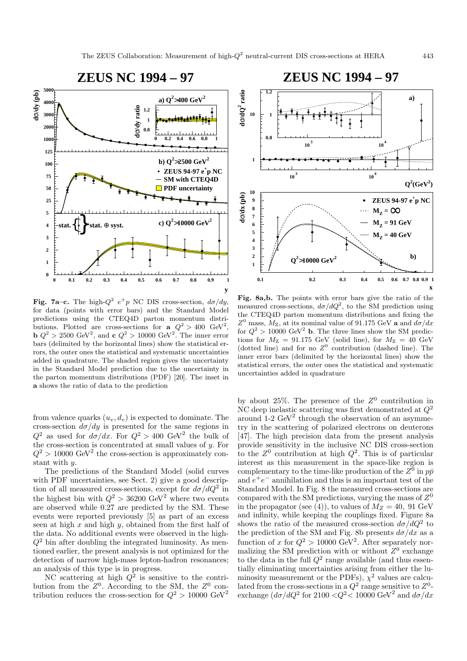

**Fig. 7a–c.** The high- $Q^2 e^+p$  NC DIS cross-section,  $d\sigma/dy$ , for data (points with error bars) and the Standard Model predictions using the CTEQ4D parton momentum distributions. Plotted are cross-sections for **a**  $Q^2 > 400 \text{ GeV}^2$ , **b**  $Q^2 > 2500 \text{ GeV}^2$ , and **c**  $Q^2 > 10000 \text{ GeV}^2$ . The inner error bars (delimited by the horizontal lines) show the statistical errors, the outer ones the statistical and systematic uncertainties added in quadrature. The shaded region gives the uncertainty in the Standard Model prediction due to the uncertainty in the parton momentum distributions (PDF) [20]. The inset in **a** shows the ratio of data to the prediction

from valence quarks  $(u_v, d_v)$  is expected to dominate. The cross-section  $d\sigma/dy$  is presented for the same regions in  $Q^2$  as used for  $d\sigma/dx$ . For  $Q^2 > 400$  GeV<sup>2</sup> the bulk of the cross-section is concentrated at small values of y. For  $Q^2 > 10000 \text{ GeV}^2$  the cross-section is approximately constant with y.

The predictions of the Standard Model (solid curves with PDF uncertainties, see Sect. 2) give a good description of all measured cross-sections, except for  $d\sigma/dQ^2$  in the highest bin with  $Q^2 > 36200 \text{ GeV}^2$  where two events are observed while 0.27 are predicted by the SM. These events were reported previously [5] as part of an excess seen at high  $x$  and high  $y$ , obtained from the first half of the data. No additional events were observed in the high- $Q^2$  bin after doubling the integrated luminosity. As mentioned earlier, the present analysis is not optimized for the detection of narrow high-mass lepton-hadron resonances; an analysis of this type is in progress.

NC scattering at high  $Q^2$  is sensitive to the contribution from the  $Z^0$ . According to the SM, the  $Z^0$  contribution reduces the cross-section for  $Q^2 > 10000 \ {\rm GeV^2}$ 



**Fig. 8a,b.** The points with error bars give the ratio of the measured cross-sections,  $d\sigma/dQ^2$ , to the SM prediction using the CTEQ4D parton momentum distributions and fixing the  $Z^0$  mass,  $M_Z$ , at its nominal value of 91.175 GeV **a** and  $d\sigma/dx$ for  $Q^2 > 10000$  GeV<sup>2</sup> b. The three lines show the SM predictions for  $M_{\rm Z} = 91.175$  GeV (solid line), for  $M_{\rm Z} = 40$  GeV (dotted line) and for no  $Z^0$  contribution (dashed line). The inner error bars (delimited by the horizontal lines) show the statistical errors, the outer ones the statistical and systematic uncertainties added in quadrature

by about 25%. The presence of the  $Z^0$  contribution in NC deep inelastic scattering was first demonstrated at  $Q^2$ around  $1-2 \text{ GeV}^2$  through the observation of an asymmetry in the scattering of polarized electrons on deuterons [47]. The high precision data from the present analysis provide sensitivity in the inclusive NC DIS cross-section to the  $Z^0$  contribution at high  $Q^2$ . This is of particular interest as this measurement in the space-like region is complementary to the time-like production of the  $Z^0$  in  $p\bar{p}$ and  $e^+e^-$  annihilation and thus is an important test of the Standard Model. In Fig. 8 the measured cross-sections are compared with the SM predictions, varying the mass of  $Z^0$ in the propagator (see (4)), to values of  $M_Z = 40$ , 91 GeV and infinity, while keeping the couplings fixed. Figure 8a shows the ratio of the measured cross-section  $d\sigma/dQ^2$  to the prediction of the SM and Fig. 8b presents  $d\sigma/dx$  as a function of x for  $Q^2 > 10000 \text{ GeV}^2$ . After separately normalizing the SM prediction with or without  $Z^0$  exchange to the data in the full  $Q^2$  range available (and thus essentially eliminating uncertainties arising from either the luminosity measurement or the PDFs),  $\chi^2$  values are calculated from the cross-sections in a  $Q^2$  range sensitive to  $Z^0$ exchange  $(d\sigma/dQ^2$  for  $2100 < Q^2 < 10000$  GeV<sup>2</sup> and  $d\sigma/dx$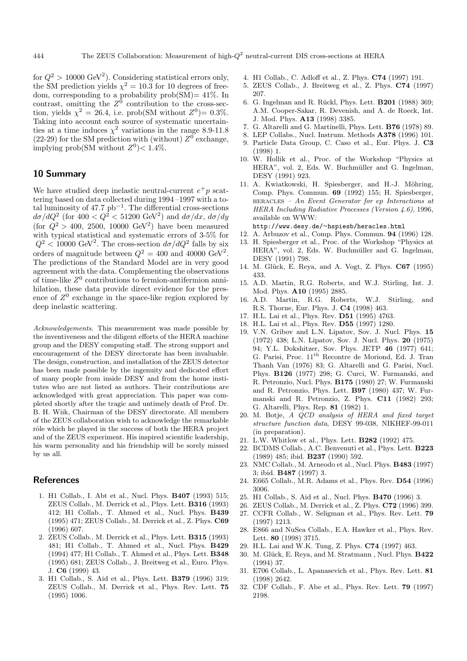for  $Q^2 > 10000 \text{ GeV}^2$ . Considering statistical errors only, the SM prediction yields  $\chi^2 = 10.3$  for 10 degrees of freedom, corresponding to a probability prob(SM)=  $41\%$ . In contrast, omitting the  $Z^{\bar{0}}$  contribution to the cross-section, yields  $\chi^2 = 26.4$ , i.e. prob(SM without  $Z^0 = 0.3\%$ . Taking into account each source of systematic uncertainties at a time induces  $\chi^2$  variations in the range 8.9-11.8 (22-29) for the SM prediction with (without)  $Z^0$  exchange, implying prob(SM without  $Z^0$ )< 1.4%.

# **10 Summary**

We have studied deep inelastic neutral-current  $e^+p$  scattering based on data collected during 1994 –1997 with a total luminosity of  $47.7$  pb<sup>-1</sup>. The differential cross-sections  $d\sigma/dQ^2$  (for  $400 < Q^2 < 51200 \text{ GeV}^2$ ) and  $d\sigma/dx$ ,  $d\sigma/dy$ (for  $Q^2 > 400$ , 2500, 10000 GeV<sup>2</sup>) have been measured with typical statistical and systematic errors of 3-5% for  $Q^2$  < 10000 GeV<sup>2</sup>. The cross-section  $d\sigma/dQ^2$  falls by six orders of magnitude between  $Q^2 = 400$  and 40000 GeV<sup>2</sup>. The predictions of the Standard Model are in very good agreement with the data. Complementing the observations of time-like  $Z^0$  contributions to fermion-antifermion annihilation, these data provide direct evidence for the presence of  $Z^0$  exchange in the space-like region explored by deep inelastic scattering.

Acknowledgements. This measurement was made possible by the inventiveness and the diligent efforts of the HERA machine group and the DESY computing staff. The strong support and encouragement of the DESY directorate has been invaluable. The design, construction, and installation of the ZEUS detector has been made possible by the ingenuity and dedicated effort of many people from inside DESY and from the home institutes who are not listed as authors. Their contributions are acknowledged with great appreciation. This paper was completed shortly after the tragic and untimely death of Prof. Dr. B. H. Wiik, Chairman of the DESY directorate. All members of the ZEUS collaboration wish to acknowledge the remarkable rôle which he played in the success of both the HERA project and of the ZEUS experiment. His inspired scientific leadership, his warm personality and his friendship will be sorely missed by us all.

## **References**

- 1. H1 Collab., I. Abt et al., Nucl. Phys. **B407** (1993) 515; ZEUS Collab., M. Derrick et al., Phys. Lett. **B316** (1993) 412; H1 Collab., T. Ahmed et al., Nucl. Phys. **B439** (1995) 471; ZEUS Collab., M. Derrick et al., Z. Phys. **C69** (1996) 607.
- 2. ZEUS Collab., M. Derrick et al., Phys. Lett. **B315** (1993) 481; H1 Collab., T. Ahmed et al., Nucl. Phys. **B429** (1994) 477; H1 Collab., T. Ahmed et al., Phys. Lett. **B348** (1995) 681; ZEUS Collab., J. Breitweg et al., Euro. Phys. J. **C6** (1999) 43.
- 3. H1 Collab., S. Aid et al., Phys. Lett. **B379** (1996) 319; ZEUS Collab., M. Derrick et al., Phys. Rev. Lett. **75** (1995) 1006.
- 4. H1 Collab., C. Adloff et al., Z. Phys. **C74** (1997) 191.
- 5. ZEUS Collab., J. Breitweg et al., Z. Phys. **C74** (1997) 207.
- 6. G. Ingelman and R. R¨uckl, Phys. Lett. **B201** (1988) 369; A.M. Cooper-Sakar, R. Devenish, and A. de Roeck, Int. J. Mod. Phys. **A13** (1998) 3385.
- 7. G. Altarelli and G. Martinelli, Phys. Lett. **B76** (1978) 89.
- 8. LEP Collabs., Nucl. Instrum. Methods **A378** (1996) 101.
- 9. Particle Data Group, C. Caso et al., Eur. Phys. J. **C3** (1998) 1.
- 10. W. Hollik et al., Proc. of the Workshop "Physics at HERA", vol. 2, Eds. W. Buchmüller and G. Ingelman, DESY (1991) 923.
- 11. A. Kwiatkowski, H. Spiesberger, and H.-J. Möhring, Comp. Phys. Commun. **69** (1992) 155; H. Spiesberger, heracles – An Event Generator for ep Interactions at HERA Including Radiative Processes (Version 4.6), 1996, available on WWW:
- http://www.desy.de/*∼*hspiesb/heracles.html
- 12. A. Arbuzov et al., Comp. Phys. Commun. **94** (1996) 128.
- 13. H. Spiesberger et al., Proc. of the Workshop "Physics at HERA", vol. 2, Eds. W. Buchmüller and G. Ingelman, DESY (1991) 798.
- 14. M. Glück, E. Reya, and A. Vogt, Z. Phys. **C67** (1995) 433.
- 15. A.D. Martin, R.G. Roberts, and W.J. Stirling, Int. J. Mod. Phys. **A10** (1995) 2885.
- 16. A.D. Martin, R.G. Roberts, W.J. Stirling, and R.S. Thorne, Eur. Phys. J. **C4** (1998) 463.
- 17. H.L. Lai et al., Phys. Rev. **D51** (1995) 4763.
- 18. H.L. Lai et al., Phys. Rev. **D55** (1997) 1280.
- 19. V.N. Gribov and L.N. Lipatov, Sov. J. Nucl. Phys. **15** (1972) 438; L.N. Lipatov, Sov. J. Nucl. Phys. **20** (1975) 94; Y.L. Dokshitzer, Sov. Phys. JETP **46** (1977) 641; G. Parisi, Proc.  $11<sup>th</sup>$  Recontre de Moriond, Ed. J. Tran Thanh Van (1976) 83; G. Altarelli and G. Parisi, Nucl. Phys. **B126** (1977) 298; G. Curci, W. Furmanski, and R. Petronzio, Nucl. Phys. **B175** (1980) 27; W. Furmanski and R. Petronzio, Phys. Lett. **B97** (1980) 437; W. Furmanski and R. Petronzio, Z. Phys. **C11** (1982) 293; G. Altarelli, Phys. Rep. **81** (1982) 1.
- 20. M. Botje, A QCD analysis of HERA and fixed target structure function data, DESY 99-038, NIKHEF-99-011 (in preparation).
- 21. L.W. Whitlow et al., Phys. Lett. **B282** (1992) 475.
- 22. BCDMS Collab., A.C. Benvenuti et al., Phys. Lett. **B223** (1989) 485; ibid. **B237** (1990) 592.
- 23. NMC Collab., M. Arneodo et al., Nucl. Phys. **B483** (1997) 3; ibid. **B487** (1997) 3.
- 24. E665 Collab., M.R. Adams et al., Phys. Rev. **D54** (1996) 3006.
- 25. H1 Collab., S. Aid et al., Nucl. Phys. **B470** (1996) 3.
- 26. ZEUS Collab., M. Derrick et al., Z. Phys. **C72** (1996) 399.
- 27. CCFR Collab., W. Seligman et al., Phys. Rev. Lett. **79** (1997) 1213.
- 28. E866 and NuSea Collab., E.A. Hawker et al., Phys. Rev. Lett. **80** (1998) 3715.
- 29. H.L. Lai and W.K. Tung, Z. Phys. **C74** (1997) 463.
- 30. M. Gl¨uck, E. Reya, and M. Stratmann , Nucl. Phys. **B422** (1994) 37.
- 31. E706 Collab., L. Apanasevich et al., Phys. Rev. Lett. **81** (1998) 2642.
- 32. CDF Collab., F. Abe et al., Phys. Rev. Lett. **79** (1997) 2198.